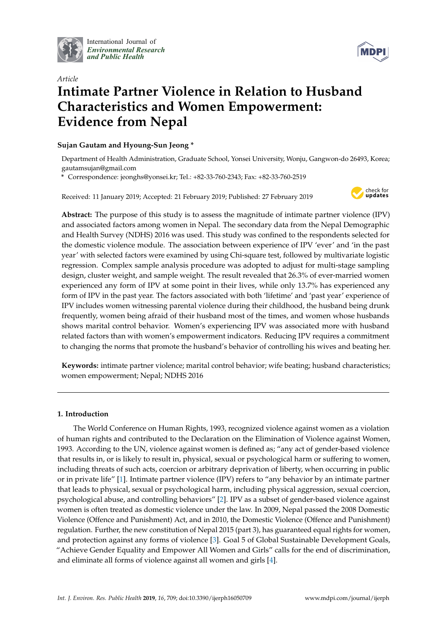

International Journal of *[Environmental Research](http://www.mdpi.com/journal/ijerph) and Public Health*



# *Article* **Intimate Partner Violence in Relation to Husband Characteristics and Women Empowerment: Evidence from Nepal**

## **Sujan Gautam and Hyoung-Sun Jeong \***

Department of Health Administration, Graduate School, Yonsei University, Wonju, Gangwon-do 26493, Korea; gautamsujan@gmail.com

**\*** Correspondence: jeonghs@yonsei.kr; Tel.: +82-33-760-2343; Fax: +82-33-760-2519

Received: 11 January 2019; Accepted: 21 February 2019; Published: 27 February 2019



**Abstract:** The purpose of this study is to assess the magnitude of intimate partner violence (IPV) and associated factors among women in Nepal. The secondary data from the Nepal Demographic and Health Survey (NDHS) 2016 was used. This study was confined to the respondents selected for the domestic violence module. The association between experience of IPV 'ever' and 'in the past year' with selected factors were examined by using Chi-square test, followed by multivariate logistic regression. Complex sample analysis procedure was adopted to adjust for multi-stage sampling design, cluster weight, and sample weight. The result revealed that 26.3% of ever-married women experienced any form of IPV at some point in their lives, while only 13.7% has experienced any form of IPV in the past year. The factors associated with both 'lifetime' and 'past year' experience of IPV includes women witnessing parental violence during their childhood, the husband being drunk frequently, women being afraid of their husband most of the times, and women whose husbands shows marital control behavior. Women's experiencing IPV was associated more with husband related factors than with women's empowerment indicators. Reducing IPV requires a commitment to changing the norms that promote the husband's behavior of controlling his wives and beating her.

**Keywords:** intimate partner violence; marital control behavior; wife beating; husband characteristics; women empowerment; Nepal; NDHS 2016

# **1. Introduction**

The World Conference on Human Rights, 1993, recognized violence against women as a violation of human rights and contributed to the Declaration on the Elimination of Violence against Women, 1993. According to the UN, violence against women is defined as; "any act of gender-based violence that results in, or is likely to result in, physical, sexual or psychological harm or suffering to women, including threats of such acts, coercion or arbitrary deprivation of liberty, when occurring in public or in private life" [\[1\]](#page-17-0). Intimate partner violence (IPV) refers to "any behavior by an intimate partner that leads to physical, sexual or psychological harm, including physical aggression, sexual coercion, psychological abuse, and controlling behaviors" [\[2\]](#page-17-1). IPV as a subset of gender-based violence against women is often treated as domestic violence under the law. In 2009, Nepal passed the 2008 Domestic Violence (Offence and Punishment) Act, and in 2010, the Domestic Violence (Offence and Punishment) regulation. Further, the new constitution of Nepal 2015 (part 3), has guaranteed equal rights for women, and protection against any forms of violence [\[3\]](#page-17-2). Goal 5 of Global Sustainable Development Goals, "Achieve Gender Equality and Empower All Women and Girls" calls for the end of discrimination, and eliminate all forms of violence against all women and girls [\[4\]](#page-17-3).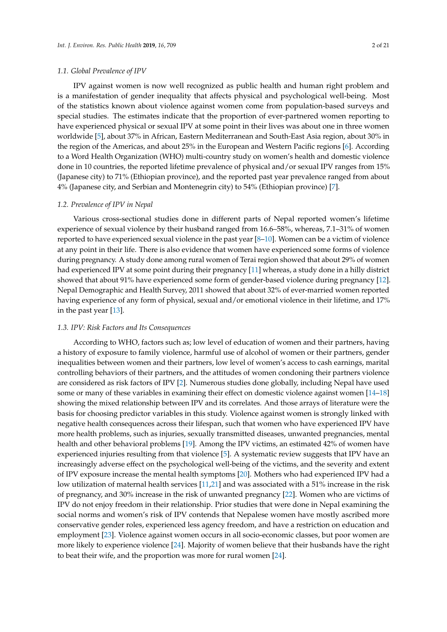#### *1.1. Global Prevalence of IPV*

IPV against women is now well recognized as public health and human right problem and is a manifestation of gender inequality that affects physical and psychological well-being. Most of the statistics known about violence against women come from population-based surveys and special studies. The estimates indicate that the proportion of ever-partnered women reporting to have experienced physical or sexual IPV at some point in their lives was about one in three women worldwide [\[5\]](#page-17-4), about 37% in African, Eastern Mediterranean and South-East Asia region, about 30% in the region of the Americas, and about 25% in the European and Western Pacific regions [\[6\]](#page-17-5). According to a Word Health Organization (WHO) multi-country study on women's health and domestic violence done in 10 countries, the reported lifetime prevalence of physical and/or sexual IPV ranges from 15% (Japanese city) to 71% (Ethiopian province), and the reported past year prevalence ranged from about 4% (Japanese city, and Serbian and Montenegrin city) to 54% (Ethiopian province) [\[7\]](#page-17-6).

#### *1.2. Prevalence of IPV in Nepal*

Various cross-sectional studies done in different parts of Nepal reported women's lifetime experience of sexual violence by their husband ranged from 16.6–58%, whereas, 7.1–31% of women reported to have experienced sexual violence in the past year [\[8](#page-17-7)[–10\]](#page-18-0). Women can be a victim of violence at any point in their life. There is also evidence that women have experienced some forms of violence during pregnancy. A study done among rural women of Terai region showed that about 29% of women had experienced IPV at some point during their pregnancy [\[11\]](#page-18-1) whereas, a study done in a hilly district showed that about 91% have experienced some form of gender-based violence during pregnancy [\[12\]](#page-18-2). Nepal Demographic and Health Survey, 2011 showed that about 32% of ever-married women reported having experience of any form of physical, sexual and/or emotional violence in their lifetime, and 17% in the past year [\[13\]](#page-18-3).

#### *1.3. IPV: Risk Factors and Its Consequences*

According to WHO, factors such as; low level of education of women and their partners, having a history of exposure to family violence, harmful use of alcohol of women or their partners, gender inequalities between women and their partners, low level of women's access to cash earnings, marital controlling behaviors of their partners, and the attitudes of women condoning their partners violence are considered as risk factors of IPV [\[2\]](#page-17-1). Numerous studies done globally, including Nepal have used some or many of these variables in examining their effect on domestic violence against women [\[14–](#page-18-4)[18\]](#page-18-5) showing the mixed relationship between IPV and its correlates. And those arrays of literature were the basis for choosing predictor variables in this study. Violence against women is strongly linked with negative health consequences across their lifespan, such that women who have experienced IPV have more health problems, such as injuries, sexually transmitted diseases, unwanted pregnancies, mental health and other behavioral problems [\[19\]](#page-18-6). Among the IPV victims, an estimated 42% of women have experienced injuries resulting from that violence [\[5\]](#page-17-4). A systematic review suggests that IPV have an increasingly adverse effect on the psychological well-being of the victims, and the severity and extent of IPV exposure increase the mental health symptoms [\[20\]](#page-18-7). Mothers who had experienced IPV had a low utilization of maternal health services [\[11,](#page-18-1)[21\]](#page-18-8) and was associated with a 51% increase in the risk of pregnancy, and 30% increase in the risk of unwanted pregnancy [\[22\]](#page-18-9). Women who are victims of IPV do not enjoy freedom in their relationship. Prior studies that were done in Nepal examining the social norms and women's risk of IPV contends that Nepalese women have mostly ascribed more conservative gender roles, experienced less agency freedom, and have a restriction on education and employment [\[23\]](#page-18-10). Violence against women occurs in all socio-economic classes, but poor women are more likely to experience violence [\[24\]](#page-18-11). Majority of women believe that their husbands have the right to beat their wife, and the proportion was more for rural women [\[24\]](#page-18-11).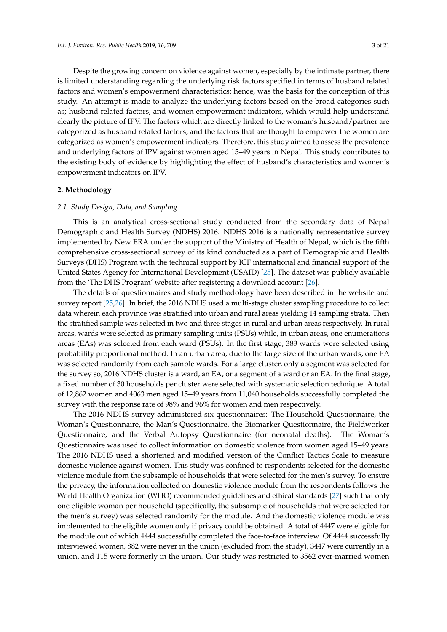Despite the growing concern on violence against women, especially by the intimate partner, there is limited understanding regarding the underlying risk factors specified in terms of husband related factors and women's empowerment characteristics; hence, was the basis for the conception of this study. An attempt is made to analyze the underlying factors based on the broad categories such as; husband related factors, and women empowerment indicators, which would help understand clearly the picture of IPV. The factors which are directly linked to the woman's husband/partner are categorized as husband related factors, and the factors that are thought to empower the women are categorized as women's empowerment indicators. Therefore, this study aimed to assess the prevalence and underlying factors of IPV against women aged 15–49 years in Nepal. This study contributes to the existing body of evidence by highlighting the effect of husband's characteristics and women's empowerment indicators on IPV.

#### **2. Methodology**

#### *2.1. Study Design, Data, and Sampling*

This is an analytical cross-sectional study conducted from the secondary data of Nepal Demographic and Health Survey (NDHS) 2016. NDHS 2016 is a nationally representative survey implemented by New ERA under the support of the Ministry of Health of Nepal, which is the fifth comprehensive cross-sectional survey of its kind conducted as a part of Demographic and Health Surveys (DHS) Program with the technical support by ICF international and financial support of the United States Agency for International Development (USAID) [\[25\]](#page-18-12). The dataset was publicly available from the 'The DHS Program' website after registering a download account [\[26\]](#page-18-13).

The details of questionnaires and study methodology have been described in the website and survey report [\[25,](#page-18-12)[26\]](#page-18-13). In brief, the 2016 NDHS used a multi-stage cluster sampling procedure to collect data wherein each province was stratified into urban and rural areas yielding 14 sampling strata. Then the stratified sample was selected in two and three stages in rural and urban areas respectively. In rural areas, wards were selected as primary sampling units (PSUs) while, in urban areas, one enumerations areas (EAs) was selected from each ward (PSUs). In the first stage, 383 wards were selected using probability proportional method. In an urban area, due to the large size of the urban wards, one EA was selected randomly from each sample wards. For a large cluster, only a segment was selected for the survey so, 2016 NDHS cluster is a ward, an EA, or a segment of a ward or an EA. In the final stage, a fixed number of 30 households per cluster were selected with systematic selection technique. A total of 12,862 women and 4063 men aged 15–49 years from 11,040 households successfully completed the survey with the response rate of 98% and 96% for women and men respectively.

The 2016 NDHS survey administered six questionnaires: The Household Questionnaire, the Woman's Questionnaire, the Man's Questionnaire, the Biomarker Questionnaire, the Fieldworker Questionnaire, and the Verbal Autopsy Questionnaire (for neonatal deaths). The Woman's Questionnaire was used to collect information on domestic violence from women aged 15–49 years. The 2016 NDHS used a shortened and modified version of the Conflict Tactics Scale to measure domestic violence against women. This study was confined to respondents selected for the domestic violence module from the subsample of households that were selected for the men's survey. To ensure the privacy, the information collected on domestic violence module from the respondents follows the World Health Organization (WHO) recommended guidelines and ethical standards [\[27\]](#page-18-14) such that only one eligible woman per household (specifically, the subsample of households that were selected for the men's survey) was selected randomly for the module. And the domestic violence module was implemented to the eligible women only if privacy could be obtained. A total of 4447 were eligible for the module out of which 4444 successfully completed the face-to-face interview. Of 4444 successfully interviewed women, 882 were never in the union (excluded from the study), 3447 were currently in a union, and 115 were formerly in the union. Our study was restricted to 3562 ever-married women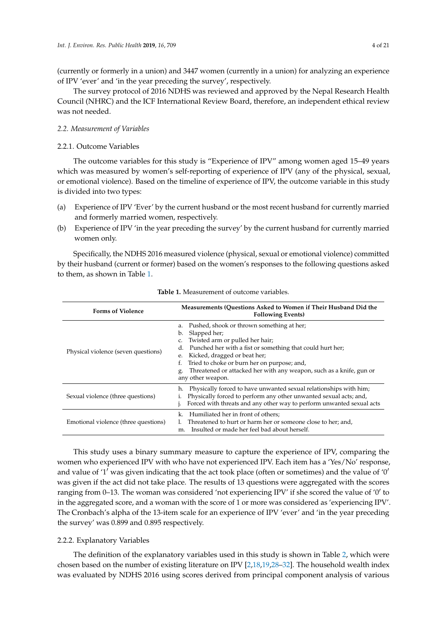(currently or formerly in a union) and 3447 women (currently in a union) for analyzing an experience of IPV 'ever' and 'in the year preceding the survey', respectively.

The survey protocol of 2016 NDHS was reviewed and approved by the Nepal Research Health Council (NHRC) and the ICF International Review Board, therefore, an independent ethical review was not needed.

#### *2.2. Measurement of Variables*

#### 2.2.1. Outcome Variables

The outcome variables for this study is "Experience of IPV" among women aged 15–49 years which was measured by women's self-reporting of experience of IPV (any of the physical, sexual, or emotional violence). Based on the timeline of experience of IPV, the outcome variable in this study is divided into two types:

- (a) Experience of IPV 'Ever' by the current husband or the most recent husband for currently married and formerly married women, respectively.
- (b) Experience of IPV 'in the year preceding the survey' by the current husband for currently married women only.

Specifically, the NDHS 2016 measured violence (physical, sexual or emotional violence) committed by their husband (current or former) based on the women's responses to the following questions asked to them, as shown in Table [1.](#page-3-0)

<span id="page-3-0"></span>

| <b>Forms of Violence</b>             | Measurements (Questions Asked to Women if Their Husband Did the<br><b>Following Events)</b>                                                                                                                                                                                                                                                                                          |
|--------------------------------------|--------------------------------------------------------------------------------------------------------------------------------------------------------------------------------------------------------------------------------------------------------------------------------------------------------------------------------------------------------------------------------------|
| Physical violence (seven questions)  | Pushed, shook or thrown something at her;<br>a.<br>Slapped her;<br>b.<br>Twisted arm or pulled her hair;<br>$\mathsf{C}$ .<br>Punched her with a fist or something that could hurt her;<br>d.<br>Kicked, dragged or beat her;<br>e.<br>Tried to choke or burn her on purpose; and,<br>Threatened or attacked her with any weapon, such as a knife, gun or<br>g.<br>any other weapon. |
| Sexual violence (three questions)    | Physically forced to have unwanted sexual relationships with him;<br>h.<br>Physically forced to perform any other unwanted sexual acts; and,<br>Forced with threats and any other way to perform unwanted sexual acts                                                                                                                                                                |
| Emotional violence (three questions) | k. Humiliated her in front of others;<br>Threatened to hurt or harm her or someone close to her; and,<br>Insulted or made her feel bad about herself.<br>m.                                                                                                                                                                                                                          |

**Table 1.** Measurement of outcome variables.

This study uses a binary summary measure to capture the experience of IPV, comparing the women who experienced IPV with who have not experienced IPV. Each item has a 'Yes/No' response, and value of '1' was given indicating that the act took place (often or sometimes) and the value of '0' was given if the act did not take place. The results of 13 questions were aggregated with the scores ranging from 0-13. The woman was considered 'not experiencing IPV' if she scored the value of '0' to in the aggregated score, and a woman with the score of 1 or more was considered as 'experiencing IPV'. The Cronbach's alpha of the 13-item scale for an experience of IPV 'ever' and 'in the year preceding the survey' was 0.899 and 0.895 respectively.

#### 2.2.2. Explanatory Variables

The definition of the explanatory variables used in this study is shown in Table [2,](#page-4-0) which were chosen based on the number of existing literature on IPV [\[2,](#page-17-1)[18,](#page-18-5)[19,](#page-18-6)[28–](#page-18-15)[32\]](#page-19-0). The household wealth index was evaluated by NDHS 2016 using scores derived from principal component analysis of various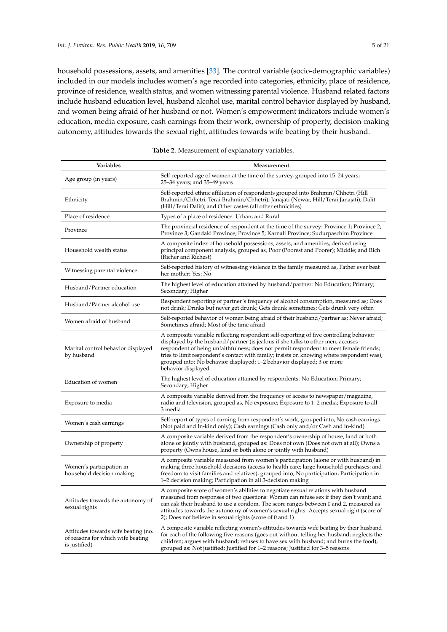household possessions, assets, and amenities [\[33\]](#page-19-1). The control variable (socio-demographic variables) included in our models includes women's age recorded into categories, ethnicity, place of residence, province of residence, wealth status, and women witnessing parental violence. Husband related factors include husband education level, husband alcohol use, marital control behavior displayed by husband, and women being afraid of her husband or not. Women's empowerment indicators include women's education, media exposure, cash earnings from their work, ownership of property, decision-making autonomy, attitudes towards the sexual right, attitudes towards wife beating by their husband.

<span id="page-4-0"></span>

| Variables                                                                                 | Measurement                                                                                                                                                                                                                                                                                                                                                                                                                                                       |
|-------------------------------------------------------------------------------------------|-------------------------------------------------------------------------------------------------------------------------------------------------------------------------------------------------------------------------------------------------------------------------------------------------------------------------------------------------------------------------------------------------------------------------------------------------------------------|
| Age group (in years)                                                                      | Self-reported age of women at the time of the survey, grouped into 15-24 years;<br>25-34 years; and 35-49 years                                                                                                                                                                                                                                                                                                                                                   |
| Ethnicity                                                                                 | Self-reported ethnic affiliation of respondents grouped into Brahmin/Chhetri (Hill<br>Brahmin/Chhetri, Terai Brahmin/Chhetri); Janajati (Newar, Hill/Terai Janajati); Dalit<br>(Hill/Terai Dalit); and Other castes (all other ethnicities)                                                                                                                                                                                                                       |
| Place of residence                                                                        | Types of a place of residence: Urban; and Rural                                                                                                                                                                                                                                                                                                                                                                                                                   |
| Province                                                                                  | The provincial residence of respondent at the time of the survey: Province 1; Province 2;<br>Province 3; Gandaki Province; Province 5; Karnali Province; Sudurpaschim Province                                                                                                                                                                                                                                                                                    |
| Household wealth status                                                                   | A composite index of household possessions, assets, and amenities, derived using<br>principal component analysis, grouped as, Poor (Poorest and Poorer); Middle; and Rich<br>(Richer and Richest)                                                                                                                                                                                                                                                                 |
| Witnessing parental violence                                                              | Self-reported history of witnessing violence in the family measured as, Father ever beat<br>her mother: Yes; No                                                                                                                                                                                                                                                                                                                                                   |
| Husband/Partner education                                                                 | The highest level of education attained by husband/partner: No Education; Primary;<br>Secondary; Higher                                                                                                                                                                                                                                                                                                                                                           |
| Husband/Partner alcohol use                                                               | Respondent reporting of partner's frequency of alcohol consumption, measured as; Does<br>not drink; Drinks but never get drunk; Gets drunk sometimes; Gets drunk very often                                                                                                                                                                                                                                                                                       |
| Women afraid of husband                                                                   | Self-reported behavior of women being afraid of their husband/partner as; Never afraid;<br>Sometimes afraid; Most of the time afraid                                                                                                                                                                                                                                                                                                                              |
| Marital control behavior displayed<br>by husband                                          | A composite variable reflecting respondent self-reporting of five controlling behavior<br>displayed by the husband/partner (is jealous if she talks to other men; accuses<br>respondent of being unfaithfulness; does not permit respondent to meet female friends;<br>tries to limit respondent's contact with family; insists on knowing where respondent was),<br>grouped into: No behavior displayed; 1-2 behavior displayed; 3 or more<br>behavior displayed |
| Education of women                                                                        | The highest level of education attained by respondents: No Education; Primary;<br>Secondary; Higher                                                                                                                                                                                                                                                                                                                                                               |
| Exposure to media                                                                         | A composite variable derived from the frequency of access to newspaper/magazine,<br>radio and television, grouped as, No exposure; Exposure to 1-2 media; Exposure to all<br>3 media                                                                                                                                                                                                                                                                              |
| Women's cash earnings                                                                     | Self-report of types of earning from respondent's work, grouped into, No cash earnings<br>(Not paid and In-kind only); Cash earnings (Cash only and/or Cash and in-kind)                                                                                                                                                                                                                                                                                          |
| Ownership of property                                                                     | A composite variable derived from the respondent's ownership of house, land or both<br>alone or jointly with husband, grouped as: Does not own (Does not own at all); Owns a<br>property (Owns house, land or both alone or jointly with husband)                                                                                                                                                                                                                 |
| Women's participation in<br>household decision making                                     | A composite variable measured from women's participation (alone or with husband) in<br>making three household decisions (access to health care; large household purchases; and<br>freedom to visit families and relatives), grouped into, No participation; Participation in<br>1-2 decision making; Participation in all 3-decision making                                                                                                                       |
| Attitudes towards the autonomy of<br>sexual rights                                        | A composite score of women's abilities to negotiate sexual relations with husband<br>measured from responses of two questions: Women can refuse sex if they don't want; and<br>can ask their husband to use a condom. The score ranges between 0 and 2, measured as<br>attitudes towards the autonomy of women's sexual rights: Accepts sexual right (score of<br>2); Does not believe in sexual rights (score of 0 and 1)                                        |
| Attitudes towards wife beating (no.<br>of reasons for which wife beating<br>is justified) | A composite variable reflecting women's attitudes towards wife beating by their husband<br>for each of the following five reasons (goes out without telling her husband; neglects the<br>children; argues with husband; refuses to have sex with husband; and burns the food),<br>grouped as: Not justified; Justified for 1-2 reasons; Justified for 3-5 reasons                                                                                                 |

**Table 2.** Measurement of explanatory variables.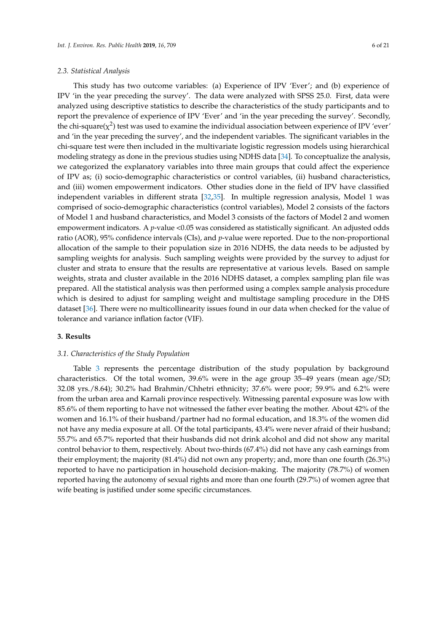#### *2.3. Statistical Analysis*

This study has two outcome variables: (a) Experience of IPV 'Ever'; and (b) experience of IPV 'in the year preceding the survey'. The data were analyzed with SPSS 25.0. First, data were analyzed using descriptive statistics to describe the characteristics of the study participants and to report the prevalence of experience of IPV 'Ever' and 'in the year preceding the survey'. Secondly, the chi-square( $\chi^2$ ) test was used to examine the individual association between experience of IPV 'ever' and 'in the year preceding the survey', and the independent variables. The significant variables in the chi-square test were then included in the multivariate logistic regression models using hierarchical modeling strategy as done in the previous studies using NDHS data [\[34\]](#page-19-2). To conceptualize the analysis, we categorized the explanatory variables into three main groups that could affect the experience of IPV as; (i) socio-demographic characteristics or control variables, (ii) husband characteristics, and (iii) women empowerment indicators. Other studies done in the field of IPV have classified independent variables in different strata [\[32](#page-19-0)[,35\]](#page-19-3). In multiple regression analysis, Model 1 was comprised of socio-demographic characteristics (control variables), Model 2 consists of the factors of Model 1 and husband characteristics, and Model 3 consists of the factors of Model 2 and women empowerment indicators. A *p*-value <0.05 was considered as statistically significant. An adjusted odds ratio (AOR), 95% confidence intervals (CIs), and *p*-value were reported. Due to the non-proportional allocation of the sample to their population size in 2016 NDHS, the data needs to be adjusted by sampling weights for analysis. Such sampling weights were provided by the survey to adjust for cluster and strata to ensure that the results are representative at various levels. Based on sample weights, strata and cluster available in the 2016 NDHS dataset, a complex sampling plan file was prepared. All the statistical analysis was then performed using a complex sample analysis procedure which is desired to adjust for sampling weight and multistage sampling procedure in the DHS dataset [\[36\]](#page-19-4). There were no multicollinearity issues found in our data when checked for the value of tolerance and variance inflation factor (VIF).

#### **3. Results**

#### *3.1. Characteristics of the Study Population*

Table [3](#page-6-0) represents the percentage distribution of the study population by background characteristics. Of the total women, 39.6% were in the age group 35–49 years (mean age/SD; 32.08 yrs./8.64); 30.2% had Brahmin/Chhetri ethnicity; 37.6% were poor; 59.9% and 6.2% were from the urban area and Karnali province respectively. Witnessing parental exposure was low with 85.6% of them reporting to have not witnessed the father ever beating the mother. About 42% of the women and 16.1% of their husband/partner had no formal education, and 18.3% of the women did not have any media exposure at all. Of the total participants, 43.4% were never afraid of their husband; 55.7% and 65.7% reported that their husbands did not drink alcohol and did not show any marital control behavior to them, respectively. About two-thirds (67.4%) did not have any cash earnings from their employment; the majority (81.4%) did not own any property; and, more than one fourth (26.3%) reported to have no participation in household decision-making. The majority (78.7%) of women reported having the autonomy of sexual rights and more than one fourth (29.7%) of women agree that wife beating is justified under some specific circumstances.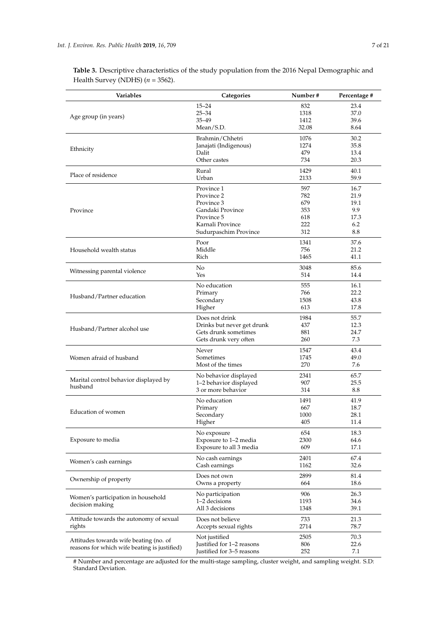$\overline{a}$ L.

 $\overline{a}$ 

| Variables                               | Categories                 | Number#     | Percentage #    |
|-----------------------------------------|----------------------------|-------------|-----------------|
|                                         | $15 - 24$                  | 832         | 23.4            |
|                                         | $25 - 34$                  | 1318        | 37.0            |
| Age group (in years)                    | $35 - 49$                  | 1412        | 39.6            |
|                                         | Mean/S.D.                  | 32.08       | 8.64            |
|                                         | Brahmin/Chhetri            | 1076        | 30.2            |
|                                         | Janajati (Indigenous)      | 1274        | 35.8            |
| Ethnicity                               | Dalit                      | 479         | 13.4            |
|                                         | Other castes               | 734         | 20.3            |
|                                         | Rural                      | 1429        | 40.1            |
| Place of residence                      | Urban                      | 2133        | 59.9            |
|                                         | Province 1                 | 597         | 16.7            |
|                                         | Province 2                 | 782         | 21.9            |
|                                         | Province 3                 | 679         | 19.1            |
| Province                                | Gandaki Province           | 353         | 9.9             |
|                                         | Province 5                 | 618         | 17.3            |
|                                         | Karnali Province           | 222         | 6.2             |
|                                         | Sudurpaschim Province      | 312         | 8.8             |
|                                         | Poor                       | 1341        | 37.6            |
|                                         |                            |             |                 |
| Household wealth status                 | Middle                     | 756         | 21.2            |
|                                         | Rich                       | 1465        | 41.1            |
| Witnessing parental violence            | No                         | 3048        | 85.6            |
|                                         | Yes                        | 514         | 14.4            |
|                                         | No education               | 555         | 16.1            |
|                                         | Primary                    | 766         | 22.2            |
| Husband/Partner education               | Secondary                  | 1508        | 43.8            |
|                                         | Higher                     | 613         | 17.8            |
|                                         | Does not drink             | 1984        | 55.7            |
|                                         | Drinks but never get drunk | 437         | 12.3            |
| Husband/Partner alcohol use             | Gets drunk sometimes       | 881         | 24.7            |
|                                         | Gets drunk very often      | 260         | 7.3             |
|                                         | Never                      | 1547        | 43.4            |
| Women afraid of husband                 | Sometimes                  | 1745        | 49.0            |
|                                         | Most of the times          | 270         | 7.6             |
|                                         | No behavior displayed      | 2341        | 65.7            |
| Marital control behavior displayed by   | 1-2 behavior displayed     | 907         | 25.5            |
| husband                                 | 3 or more behavior         | 314         | 8.8             |
|                                         | No education               | 1491        | 41.9            |
|                                         |                            | 667         | 18.7            |
| Education of women                      | Primary                    | 1000        | 28.1            |
|                                         | Secondary<br>Higher        | 405         | 11.4            |
|                                         |                            |             |                 |
|                                         | No exposure                | 654         | 18.3            |
| Exposure to media                       | Exposure to 1-2 media      | 2300<br>609 | 64.6<br>17.1    |
|                                         | Exposure to all 3 media    |             |                 |
| Women's cash earnings                   | No cash earnings           | 2401        | 67.4            |
|                                         | Cash earnings              | 1162        | 32.6            |
|                                         | Does not own               | 2899        | 81.4            |
| Ownership of property                   | Owns a property            | 664         | 18.6            |
|                                         | No participation           | 906         | 26.3            |
| Women's participation in household      | 1-2 decisions              | 1193        | 34.6            |
| decision making                         | All 3 decisions            | 1348        | 39.1            |
| Attitude towards the autonomy of sexual | Does not believe           | 733         | 21.3            |
| rights                                  | Accepts sexual rights      | 2714        | 78.7            |
|                                         | Not justified              | 2505        | 70.3            |
| Attitudes towards wife beating (no. of  |                            | 00<         | 22 <sup>0</sup> |

<span id="page-6-0"></span>**Table 3.** Descriptive characteristics of the study population from the 2016 Nepal Demographic and Health Survey (NDHS) (*n* = 3562).

Justified for 3-5 reasons # Number and percentage are adjusted for the multi-stage sampling, cluster weight, and sampling weight. S.D: Standard Deviation.

Justified for 1–2 reasons 806 22.6

reasons for which wife beating is justified)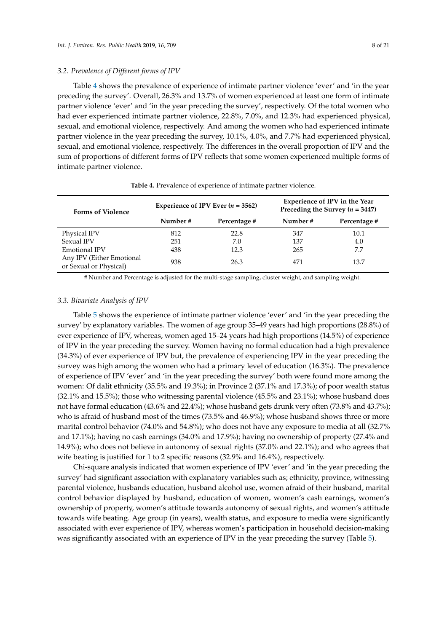#### *3.2. Prevalence of Different forms of IPV*

Table [4](#page-7-0) shows the prevalence of experience of intimate partner violence 'ever' and 'in the year preceding the survey'. Overall, 26.3% and 13.7% of women experienced at least one form of intimate partner violence 'ever' and 'in the year preceding the survey', respectively. Of the total women who had ever experienced intimate partner violence, 22.8%, 7.0%, and 12.3% had experienced physical, sexual, and emotional violence, respectively. And among the women who had experienced intimate partner violence in the year preceding the survey, 10.1%, 4.0%, and 7.7% had experienced physical, sexual, and emotional violence, respectively. The differences in the overall proportion of IPV and the sum of proportions of different forms of IPV reflects that some women experienced multiple forms of intimate partner violence.

<span id="page-7-0"></span>

| <b>Forms of Violence</b>                            |         | Experience of IPV Ever $(n = 3562)$ | Experience of IPV in the Year<br>Preceding the Survey $(n = 3447)$ |              |  |
|-----------------------------------------------------|---------|-------------------------------------|--------------------------------------------------------------------|--------------|--|
|                                                     | Number# | Percentage #                        | Number#                                                            | Percentage # |  |
| Physical IPV                                        | 812     | 22.8                                | 347                                                                | 10.1         |  |
| Sexual IPV                                          | 251     | 7.0                                 | 137                                                                | 4.0          |  |
| Emotional IPV                                       | 438     | 12.3                                | 265                                                                | 7.7          |  |
| Any IPV (Either Emotional<br>or Sexual or Physical) | 938     | 26.3                                | 471                                                                | 13.7         |  |

**Table 4.** Prevalence of experience of intimate partner violence.

# Number and Percentage is adjusted for the multi-stage sampling, cluster weight, and sampling weight.

#### *3.3. Bivariate Analysis of IPV*

Table [5](#page-9-0) shows the experience of intimate partner violence 'ever' and 'in the year preceding the survey' by explanatory variables. The women of age group 35–49 years had high proportions (28.8%) of ever experience of IPV, whereas, women aged 15–24 years had high proportions (14.5%) of experience of IPV in the year preceding the survey. Women having no formal education had a high prevalence (34.3%) of ever experience of IPV but, the prevalence of experiencing IPV in the year preceding the survey was high among the women who had a primary level of education (16.3%). The prevalence of experience of IPV 'ever' and 'in the year preceding the survey' both were found more among the women: Of dalit ethnicity (35.5% and 19.3%); in Province 2 (37.1% and 17.3%); of poor wealth status (32.1% and 15.5%); those who witnessing parental violence (45.5% and 23.1%); whose husband does not have formal education (43.6% and 22.4%); whose husband gets drunk very often (73.8% and 43.7%); who is afraid of husband most of the times (73.5% and 46.9%); whose husband shows three or more marital control behavior (74.0% and 54.8%); who does not have any exposure to media at all (32.7% and 17.1%); having no cash earnings (34.0% and 17.9%); having no ownership of property (27.4% and 14.9%); who does not believe in autonomy of sexual rights (37.0% and 22.1%); and who agrees that wife beating is justified for 1 to 2 specific reasons (32.9% and 16.4%), respectively.

Chi-square analysis indicated that women experience of IPV 'ever' and 'in the year preceding the survey' had significant association with explanatory variables such as; ethnicity, province, witnessing parental violence, husbands education, husband alcohol use, women afraid of their husband, marital control behavior displayed by husband, education of women, women's cash earnings, women's ownership of property, women's attitude towards autonomy of sexual rights, and women's attitude towards wife beating. Age group (in years), wealth status, and exposure to media were significantly associated with ever experience of IPV, whereas women's participation in household decision-making was significantly associated with an experience of IPV in the year preceding the survey (Table [5\)](#page-9-0).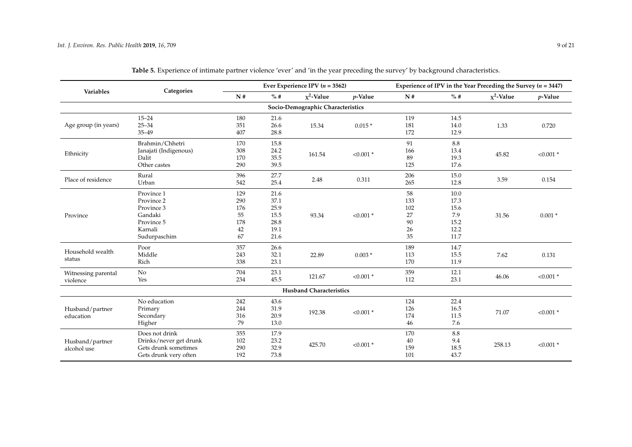|                      |                        |     | Ever Experience IPV ( $n = 3562$ ) |                                   |             | Experience of IPV in the Year Preceding the Survey ( $n = 3447$ ) |            |              |             |
|----------------------|------------------------|-----|------------------------------------|-----------------------------------|-------------|-------------------------------------------------------------------|------------|--------------|-------------|
| Variables            | Categories             | N#  | %#                                 | $x^2$ -Value                      | $p$ -Value  | N#                                                                | %#         | $x^2$ -Value | $p$ -Value  |
|                      |                        |     |                                    | Socio-Demographic Characteristics |             |                                                                   |            |              |             |
|                      | $15 - 24$              | 180 | 21.6                               |                                   |             | 119                                                               | 14.5       |              |             |
| Age group (in years) | $25 - 34$              | 351 | 26.6                               | 15.34                             | $0.015*$    | 181                                                               | 14.0       | 1.33         | 0.720       |
|                      | $35 - 49$              | 407 | 28.8                               |                                   |             | 172                                                               | 12.9       |              |             |
|                      | Brahmin/Chhetri        | 170 | 15.8                               |                                   |             | 91                                                                | 8.8        |              |             |
| Ethnicity            | Janajati (Indigenous)  | 308 | 24.2                               | 161.54                            | $< 0.001$ * | 166                                                               | 13.4       | 45.82        | $< 0.001$ * |
|                      | Dalit                  | 170 | 35.5                               |                                   |             | 89                                                                | 19.3       |              |             |
|                      | Other castes           | 290 | 39.5                               |                                   |             | 125                                                               | 17.6       |              |             |
| Place of residence   | Rural                  | 396 | 27.7                               |                                   | 0.311       | 206                                                               | 15.0       | 3.59         | 0.154       |
|                      | Urban                  | 542 | 25.4                               | 2.48                              |             | 265                                                               | 12.8       |              |             |
|                      | Province 1             | 129 | 21.6                               |                                   |             | 58                                                                | 10.0       |              |             |
| Province             | Province 2             | 290 | 37.1                               |                                   | $< 0.001$ * | 133                                                               | 17.3       | 31.56        |             |
|                      | Province 3             | 176 | 25.9                               |                                   |             | 102                                                               | 15.6       |              |             |
|                      | Gandaki                | 55  | 15.5                               | 93.34                             |             | 27                                                                | 7.9        |              | $0.001*$    |
|                      | Province 5             | 178 | 28.8                               |                                   |             | 90                                                                | 15.2       |              |             |
|                      | Karnali                | 42  | 19.1                               |                                   |             | 26                                                                | 12.2       |              |             |
|                      | Sudurpaschim           | 67  | 21.6                               |                                   |             | 35                                                                | 11.7       |              |             |
|                      | Poor                   | 357 | 26.6                               |                                   |             | 189                                                               | 14.7       |              |             |
| Household wealth     | Middle                 | 243 | 32.1                               | 22.89                             | $0.003*$    | 113                                                               | 15.5       | 7.62         | 0.131       |
| status               | Rich                   | 338 | 23.1                               |                                   |             | 170                                                               | 11.9       |              |             |
| Witnessing parental  | No                     | 704 | 23.1                               |                                   |             | 359                                                               | 12.1       |              |             |
| violence             | Yes                    | 234 | 45.5                               | 121.67                            | $< 0.001$ * | 112                                                               | 23.1       | 46.06        | $< 0.001$ * |
|                      |                        |     |                                    | <b>Husband Characteristics</b>    |             |                                                                   |            |              |             |
|                      | No education           | 242 | 43.6                               |                                   |             | 124                                                               | 22.4       |              |             |
| Husband/partner      | Primary                | 244 | 31.9                               |                                   |             | 126                                                               | 16.5       |              |             |
| education            | Secondary              | 316 | 20.9                               | 192.38                            | $< 0.001$ * | 174                                                               | 11.5       | 71.07        | $< 0.001$ * |
|                      | Higher                 | 79  | 13.0                               |                                   |             | 46                                                                | 7.6        |              |             |
|                      | Does not drink         | 355 | 17.9                               |                                   |             | 170                                                               | $\ \, 8.8$ |              |             |
| Husband/partner      | Drinks/never get drunk | 102 | 23.2                               |                                   |             | 40                                                                | 9.4        |              |             |
| alcohol use          | Gets drunk sometimes   | 290 | 32.9                               | 425.70                            | $< 0.001$ * | 159                                                               | 18.5       | 258.13       | $< 0.001$ * |
|                      | Gets drunk very often  | 192 | 73.8                               |                                   |             | 101                                                               | 43.7       |              |             |

| Table 5. Experience of intimate partner violence 'ever' and 'in the year preceding the survey' by background characteristics. |
|-------------------------------------------------------------------------------------------------------------------------------|
|-------------------------------------------------------------------------------------------------------------------------------|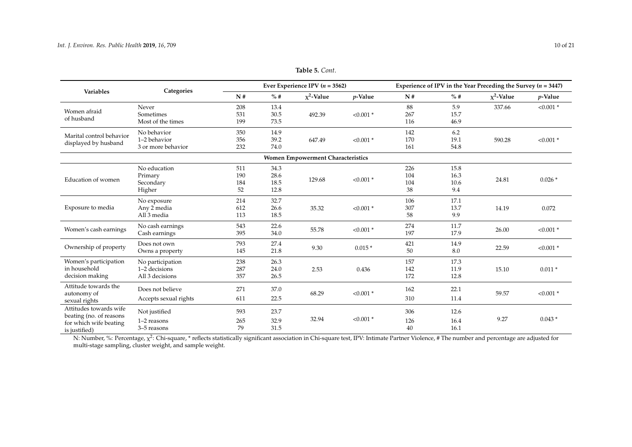|                                         |                       | Ever Experience IPV ( $n = 3562$ ) |      |                                          | Experience of IPV in the Year Preceding the Survey ( $n = 3447$ ) |     |      |              |             |
|-----------------------------------------|-----------------------|------------------------------------|------|------------------------------------------|-------------------------------------------------------------------|-----|------|--------------|-------------|
| <b>Variables</b>                        | Categories            | N#                                 | %#   | $x^2$ -Value                             | $p$ -Value                                                        | N#  | %#   | $x^2$ -Value | $p$ -Value  |
|                                         | Never                 | 208                                | 13.4 |                                          |                                                                   | 88  | 5.9  | 337.66       | $< 0.001$ * |
| Women afraid<br>of husband              | Sometimes             | 531                                | 30.5 | 492.39                                   | $< 0.001$ *                                                       | 267 | 15.7 |              |             |
|                                         | Most of the times     | 199                                | 73.5 |                                          |                                                                   | 116 | 46.9 |              |             |
| Marital control behavior                | No behavior           | 350                                | 14.9 |                                          |                                                                   | 142 | 6.2  |              |             |
| displayed by husband                    | 1-2 behavior          | 356                                | 39.2 | 647.49                                   | $< 0.001$ *                                                       | 170 | 19.1 | 590.28       | $< 0.001$ * |
|                                         | 3 or more behavior    | 232                                | 74.0 |                                          |                                                                   | 161 | 54.8 |              |             |
|                                         |                       |                                    |      | <b>Women Empowerment Characteristics</b> |                                                                   |     |      |              |             |
|                                         | No education          | 511                                | 34.3 |                                          |                                                                   | 226 | 15.8 |              |             |
|                                         | Primary               | 190                                | 28.6 |                                          |                                                                   | 104 | 16.3 |              |             |
| Education of women                      | Secondary             | 184                                | 18.5 | 129.68                                   | $< 0.001$ *                                                       | 104 | 10.6 | 24.81        | $0.026*$    |
|                                         | Higher                | 52                                 | 12.8 |                                          |                                                                   | 38  | 9.4  |              |             |
|                                         | No exposure           | 214                                | 32.7 |                                          |                                                                   | 106 | 17.1 |              |             |
| Exposure to media                       | Any 2 media           | 612                                | 26.6 | 35.32                                    | $< 0.001$ *                                                       | 307 | 13.7 | 14.19        | 0.072       |
|                                         | All 3 media           | 113                                | 18.5 |                                          |                                                                   | 58  | 9.9  |              |             |
| Women's cash earnings                   | No cash earnings      | 543                                | 22.6 |                                          |                                                                   | 274 | 11.7 |              |             |
|                                         | Cash earnings         | 395                                | 34.0 | 55.78                                    | $< 0.001$ *                                                       | 197 | 17.9 | 26.00        | $< 0.001$ * |
|                                         | Does not own          | 793                                | 27.4 |                                          |                                                                   | 421 | 14.9 |              |             |
| Ownership of property                   | Owns a property       | 145                                | 21.8 | 9.30                                     | $0.015*$                                                          | 50  | 8.0  | 22.59        | $< 0.001$ * |
| Women's participation                   | No participation      | 238                                | 26.3 |                                          |                                                                   | 157 | 17.3 |              |             |
| in household                            | 1-2 decisions         | 287                                | 24.0 | 2.53                                     | 0.436                                                             | 142 | 11.9 | 15.10        | $0.011*$    |
| decision making                         | All 3 decisions       | 357                                | 26.5 |                                          |                                                                   | 172 | 12.8 |              |             |
| Attitude towards the                    | Does not believe      | 271                                | 37.0 |                                          |                                                                   | 162 | 22.1 |              |             |
| autonomy of                             | Accepts sexual rights | 611                                | 22.5 | 68.29                                    | $< 0.001$ *                                                       | 310 | 11.4 | 59.57        | $< 0.001$ * |
| sexual rights<br>Attitudes towards wife |                       |                                    |      |                                          |                                                                   |     |      |              |             |
| beating (no. of reasons                 | Not justified         | 593                                | 23.7 |                                          |                                                                   | 306 | 12.6 |              |             |
| for which wife beating                  | 1-2 reasons           | 265                                | 32.9 | 32.94                                    | $< 0.001$ *                                                       | 126 | 16.4 | 9.27         | $0.043*$    |
| is justified)                           | 3-5 reasons           | 79                                 | 31.5 |                                          |                                                                   | 40  | 16.1 |              |             |

**Table 5.** *Cont*.

<span id="page-9-0"></span>N: Number, %: Percentage, χ<sup>2</sup>: Chi-square, \* reflects statistically significant association in Chi-square test, IPV: Intimate Partner Violence, # The number and percentage are adjusted for multi-stage sampling, cluster weight, and sample weight.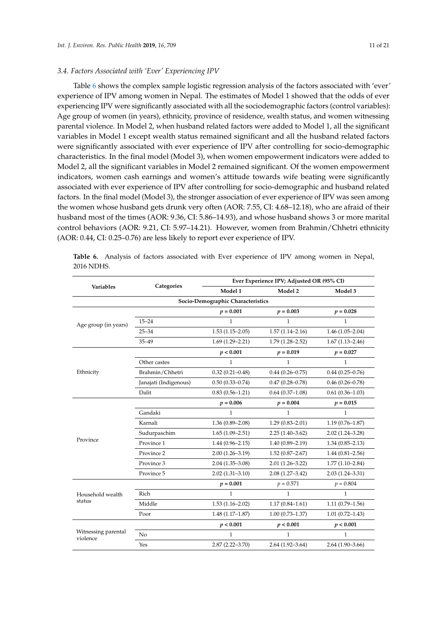#### *3.4. Factors Associated with 'Ever' Experiencing IPV*

Table [6](#page-11-0) shows the complex sample logistic regression analysis of the factors associated with 'ever' experience of IPV among women in Nepal. The estimates of Model 1 showed that the odds of ever experiencing IPV were significantly associated with all the sociodemographic factors (control variables): Age group of women (in years), ethnicity, province of residence, wealth status, and women witnessing parental violence. In Model 2, when husband related factors were added to Model 1, all the significant variables in Model 1 except wealth status remained significant and all the husband related factors were significantly associated with ever experience of IPV after controlling for socio-demographic characteristics. In the final model (Model 3), when women empowerment indicators were added to Model 2, all the significant variables in Model 2 remained significant. Of the women empowerment indicators, women cash earnings and women's attitude towards wife beating were significantly associated with ever experience of IPV after controlling for socio-demographic and husband related factors. In the final model (Model 3), the stronger association of ever experience of IPV was seen among the women whose husband gets drunk very often (AOR: 7.55, CI: 4.68–12.18), who are afraid of their husband most of the times (AOR: 9.36, CI: 5.86–14.93), and whose husband shows 3 or more marital control behaviors (AOR: 9.21, CI: 5.97–14.21). However, women from Brahmin/Chhetri ethnicity (AOR: 0.44, CI: 0.25–0.76) are less likely to report ever experience of IPV.

|                                 |                       |                                   | Ever Experience IPV; Adjusted OR (95% CI) |                     |
|---------------------------------|-----------------------|-----------------------------------|-------------------------------------------|---------------------|
| Variables                       | Categories            | Model 1                           | Model 2                                   | Model 3             |
|                                 |                       | Socio-Demographic Characteristics |                                           |                     |
|                                 |                       | $p = 0.001$                       | $p = 0.003$                               | $p = 0.028$         |
| Age group (in years)            | $15 - 24$             | $\mathbf{1}$                      | $\mathbf{1}$                              | $\mathbf{1}$        |
|                                 | $25 - 34$             | $1.53(1.15-2.05)$                 | $1.57(1.14 - 2.16)$                       | $1.46(1.05-2.04)$   |
|                                 | $35 - 49$             | $1.69(1.29 - 2.21)$               | $1.79(1.28 - 2.52)$                       | $1.67(1.13 - 2.46)$ |
|                                 |                       | p < 0.001                         | $p = 0.019$                               | $p = 0.027$         |
|                                 | Other castes          | 1                                 | 1                                         | 1                   |
| Ethnicity                       | Brahmin/Chhetri       | $0.32(0.21 - 0.48)$               | $0.44(0.26 - 0.75)$                       | $0.44(0.25 - 0.76)$ |
|                                 | Janajati (Indigenous) | $0.50(0.33 - 0.74)$               | $0.47(0.28 - 0.78)$                       | $0.46(0.26 - 0.78)$ |
|                                 | Dalit                 | $0.83(0.56 - 1.21)$               | $0.64(0.37-1.08)$                         | $0.61(0.36 - 1.03)$ |
|                                 |                       | $p = 0.006$                       | $p = 0.004$                               | $p = 0.015$         |
|                                 | Gandaki               | 1                                 | 1                                         | 1                   |
|                                 | Karnali               | $1.36(0.89 - 2.08)$               | $1.29(0.83 - 2.01)$                       | $1.19(0.76 - 1.87)$ |
|                                 | Sudurpaschim          | $1.65(1.09 - 2.51)$               | $2.25(1.40-3.62)$                         | $2.02(1.24 - 3.28)$ |
| Province                        | Province 1            | $1.44(0.96 - 2.15)$               | $1.40(0.89 - 2.19)$                       | $1.34(0.85 - 2.13)$ |
|                                 | Province 2            | $2.00(1.26 - 3.19)$               | $1.52(0.87 - 2.67)$                       | $1.44(0.81 - 2.56)$ |
|                                 | Province 3            | $2.04(1.35 - 3.08)$               | $2.01(1.26 - 3.22)$                       | $1.77(1.10-2.84)$   |
|                                 | Province 5            | $2.02(1.31 - 3.10)$               | $2.08(1.27 - 3.42)$                       | $2.03(1.24 - 3.31)$ |
|                                 |                       | $p = 0.001$                       | $p = 0.571$                               | $p = 0.804$         |
| Household wealth                | Rich                  | 1                                 | 1                                         | 1                   |
| status                          | Middle                | $1.53(1.16 - 2.02)$               | $1.17(0.84 - 1.61)$                       | $1.11(0.79-1.56)$   |
|                                 | Poor                  | $1.48(1.17-1.87)$                 | $1.00(0.73 - 1.37)$                       | $1.01(0.72 - 1.43)$ |
|                                 |                       | p < 0.001                         | p < 0.001                                 | p < 0.001           |
| Witnessing parental<br>violence | No                    | $\mathbf{1}$                      | 1                                         | 1                   |
|                                 | Yes                   | $2.87(2.22 - 3.70)$               | $2.64(1.92 - 3.64)$                       | $2.64(1.90-3.66)$   |

**Table 6.** Analysis of factors associated with Ever experience of IPV among women in Nepal, 2016 NDHS.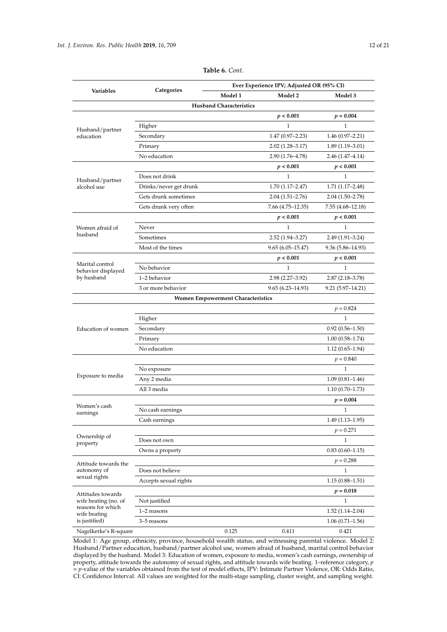<span id="page-11-0"></span>

|                                       |                        |                                          | Ever Experience IPV; Adjusted OR (95% CI) |                      |
|---------------------------------------|------------------------|------------------------------------------|-------------------------------------------|----------------------|
| <b>Variables</b>                      | Categories             | Model 1                                  | Model 2                                   | Model 3              |
|                                       |                        | <b>Husband Characteristics</b>           |                                           |                      |
|                                       |                        |                                          | p < 0.001                                 | $p = 0.004$          |
| Husband/partner                       | Higher                 |                                          | $\mathbf{1}$                              | $\mathbf{1}$         |
| education                             | Secondary              |                                          | $1.47(0.97 - 2.23)$                       | $1.46(0.97 - 2.21)$  |
|                                       | Primary                |                                          | $2.02(1.28 - 3.17)$                       | $1.89(1.19-3.01)$    |
|                                       | No education           |                                          | $2.90(1.76 - 4.78)$                       | $2.46(1.47 - 4.14)$  |
|                                       |                        |                                          | p < 0.001                                 | p < 0.001            |
| Husband/partner                       | Does not drink         |                                          | 1                                         | $\mathbf{1}$         |
| alcohol use                           | Drinks/never get drunk |                                          | $1.70(1.17-2.47)$                         | $1.71(1.17-2.48)$    |
|                                       | Gets drunk sometimes   |                                          | $2.04(1.51-2.76)$                         | $2.04(1.50-2.78)$    |
|                                       | Gets drunk very often  |                                          | 7.66 (4.75–12.35)                         | 7.55 (4.68–12.18)    |
|                                       |                        |                                          | p < 0.001                                 | p < 0.001            |
| Women afraid of                       | Never                  |                                          | 1                                         | 1                    |
| husband                               | Sometimes              |                                          | $2.52(1.94 - 3.27)$                       | $2.49(1.91 - 3.24)$  |
|                                       | Most of the times      |                                          | $9.65(6.05-15.47)$                        | $9.36(5.86 - 14.93)$ |
|                                       |                        |                                          | p < 0.001                                 | p < 0.001            |
| Marital control<br>behavior displayed | No behavior            |                                          | 1                                         | $\mathbf{1}$         |
| by husband                            | 1-2 behavior           |                                          | $2.98(2.27 - 3.92)$                       | $2.87(2.18 - 3.78)$  |
|                                       | 3 or more behavior     |                                          | $9.65(6.23 - 14.93)$                      | $9.21(5.97 - 14.21)$ |
|                                       |                        | <b>Women Empowerment Characteristics</b> |                                           |                      |
|                                       |                        |                                          |                                           | $p = 0.824$          |
|                                       | Higher                 |                                          |                                           | $\mathbf{1}$         |
| Education of women                    | Secondary              |                                          |                                           | $0.92(0.56 - 1.50)$  |
|                                       | Primary                |                                          |                                           | $1.00(0.58-1.74)$    |
|                                       | No education           |                                          |                                           | $1.12(0.65-1.94)$    |
|                                       |                        |                                          |                                           | $p = 0.840$          |
|                                       | No exposure            |                                          |                                           | $\mathbf{1}$         |
| Exposure to media                     | Any 2 media            |                                          |                                           | $1.09(0.81 - 1.46)$  |
|                                       | All 3 media            |                                          |                                           | $1.10(0.70-1.73)$    |
|                                       |                        |                                          |                                           | $p = 0.004$          |
| Women's cash<br>earnings              | No cash earnings       |                                          |                                           | $\mathbf{1}$         |
|                                       | Cash earnings          |                                          |                                           | $1.49(1.13-1.95)$    |
|                                       |                        |                                          |                                           | $p = 0.271$          |
| Ownership of<br>property              | Does not own           |                                          |                                           | 1                    |
|                                       | Owns a property        |                                          |                                           | $0.83(0.60-1.15)$    |
| Attitude towards the                  |                        |                                          |                                           | $p = 0.288$          |
| autonomy of                           | Does not believe       |                                          |                                           | $\mathbf{1}$         |
| sexual rights                         | Accepts sexual rights  |                                          |                                           | $1.15(0.88 - 1.51)$  |
| Attitudes towards                     |                        |                                          |                                           | $p = 0.018$          |
| wife beating (no. of                  | Not justified          |                                          |                                           | $\mathbf{1}$         |
| reasons for which<br>wife beating     | 1-2 reasons            |                                          |                                           | $1.52(1.14 - 2.04)$  |
| is justified)                         | 3-5 reasons            |                                          |                                           | $1.06(0.71-1.56)$    |
| Nagelkerke's R-square                 |                        | 0.125                                    | 0.411                                     | 0.421                |

**Table 6.** *Cont*.

Model 1: Age group, ethnicity, province, household wealth status, and witnessing parental violence. Model 2: Husband/Partner education, husband/partner alcohol use, women afraid of husband, marital control behavior displayed by the husband. Model 3: Education of women, exposure to media, women's cash earnings, ownership of property, attitude towards the autonomy of sexual rights, and attitude towards wife beating. 1–reference category, *p* = *p*-value of the variables obtained from the test of model effects, IPV: Intimate Partner Violence, OR: Odds Ratio, CI: Confidence Interval. All values are weighted for the multi-stage sampling, cluster weight, and sampling weight.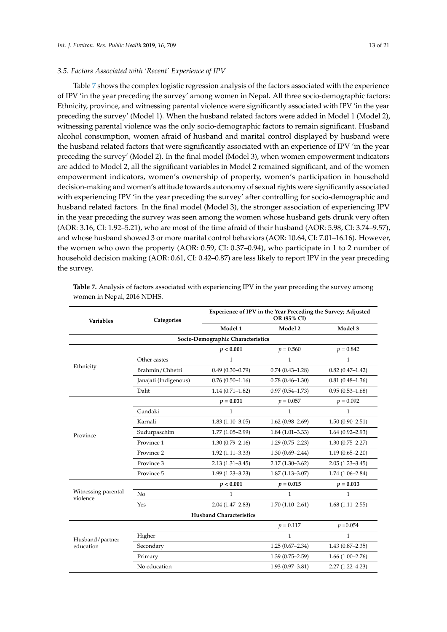#### *3.5. Factors Associated with 'Recent' Experience of IPV*

Table [7](#page-13-0) shows the complex logistic regression analysis of the factors associated with the experience of IPV 'in the year preceding the survey' among women in Nepal. All three socio-demographic factors: Ethnicity, province, and witnessing parental violence were significantly associated with IPV 'in the year preceding the survey' (Model 1). When the husband related factors were added in Model 1 (Model 2), witnessing parental violence was the only socio-demographic factors to remain significant. Husband alcohol consumption, women afraid of husband and marital control displayed by husband were the husband related factors that were significantly associated with an experience of IPV 'in the year preceding the survey' (Model 2). In the final model (Model 3), when women empowerment indicators are added to Model 2, all the significant variables in Model 2 remained significant, and of the women empowerment indicators, women's ownership of property, women's participation in household decision-making and women's attitude towards autonomy of sexual rights were significantly associated with experiencing IPV 'in the year preceding the survey' after controlling for socio-demographic and husband related factors. In the final model (Model 3), the stronger association of experiencing IPV in the year preceding the survey was seen among the women whose husband gets drunk very often (AOR: 3.16, CI: 1.92–5.21), who are most of the time afraid of their husband (AOR: 5.98, CI: 3.74–9.57), and whose husband showed 3 or more marital control behaviors (AOR: 10.64, CI: 7.01–16.16). However, the women who own the property (AOR: 0.59, CI: 0.37–0.94), who participate in 1 to 2 number of household decision making (AOR: 0.61, CI: 0.42–0.87) are less likely to report IPV in the year preceding the survey.

| <b>Variables</b>                | Categories            |                                   | Experience of IPV in the Year Preceding the Survey; Adjusted<br>OR (95% CI) |                     |  |
|---------------------------------|-----------------------|-----------------------------------|-----------------------------------------------------------------------------|---------------------|--|
|                                 |                       | Model 1                           | Model 2                                                                     | Model 3             |  |
|                                 |                       | Socio-Demographic Characteristics |                                                                             |                     |  |
|                                 |                       | p < 0.001                         | $p = 0.560$                                                                 | $p = 0.842$         |  |
|                                 | Other castes          | $\mathbf{1}$                      | 1                                                                           | $\mathbf{1}$        |  |
| Ethnicity                       | Brahmin/Chhetri       | $0.49(0.30 - 0.79)$               | $0.74(0.43 - 1.28)$                                                         | $0.82(0.47 - 1.42)$ |  |
|                                 | Janajati (Indigenous) | $0.76(0.50-1.16)$                 | $0.78(0.46 - 1.30)$                                                         | $0.81(0.48 - 1.36)$ |  |
|                                 | Dalit                 | $1.14(0.71 - 1.82)$               | $0.97(0.54 - 1.73)$                                                         | $0.95(0.53 - 1.68)$ |  |
|                                 |                       | $p = 0.031$                       | $p = 0.057$                                                                 | $p = 0.092$         |  |
|                                 | Gandaki               | 1                                 | 1                                                                           | 1                   |  |
|                                 | Karnali               | $1.83(1.10-3.05)$                 | $1.62(0.98 - 2.69)$                                                         | $1.50(0.90 - 2.51)$ |  |
| Province                        | Sudurpaschim          | $1.77(1.05-2.99)$                 | $1.84(1.01 - 3.33)$                                                         | $1.64(0.92 - 2.93)$ |  |
|                                 | Province 1            | $1.30(0.79 - 2.16)$               | $1.29(0.75 - 2.23)$                                                         | $1.30(0.75 - 2.27)$ |  |
|                                 | Province 2            | $1.92(1.11 - 3.33)$               | $1.30(0.69 - 2.44)$                                                         | $1.19(0.65 - 2.20)$ |  |
|                                 | Province 3            | $2.13(1.31 - 3.45)$               | $2.17(1.30-3.62)$                                                           | $2.05(1.23 - 3.45)$ |  |
|                                 | Province 5            | $1.99(1.23 - 3.23)$               | $1.87(1.13 - 3.07)$                                                         | $1.74(1.06 - 2.84)$ |  |
|                                 |                       | p < 0.001                         | $p = 0.015$                                                                 | $p = 0.013$         |  |
| Witnessing parental<br>violence | No                    | 1                                 | 1                                                                           | 1                   |  |
|                                 | Yes                   | $2.04(1.47-2.83)$                 | $1.70(1.10-2.61)$                                                           | $1.68(1.11 - 2.55)$ |  |
|                                 |                       | <b>Husband Characteristics</b>    |                                                                             |                     |  |
|                                 |                       |                                   | $p = 0.117$                                                                 | $p = 0.054$         |  |
| Husband/partner                 | Higher                |                                   | $\mathbf{1}$                                                                | 1                   |  |
| education                       | Secondary             |                                   | $1.25(0.67 - 2.34)$                                                         | $1.43(0.87 - 2.35)$ |  |
|                                 | Primary               |                                   | $1.39(0.75 - 2.59)$                                                         | $1.66(1.00-2.76)$   |  |
|                                 | No education          |                                   | $1.93(0.97 - 3.81)$                                                         | $2.27(1.22 - 4.23)$ |  |

**Table 7.** Analysis of factors associated with experiencing IPV in the year preceding the survey among women in Nepal, 2016 NDHS.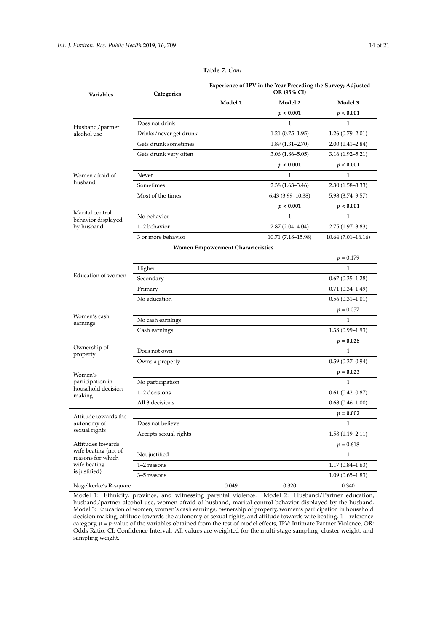<span id="page-13-0"></span>

| Variables                                 | Categories             |                                          | Experience of IPV in the Year Preceding the Survey; Adjusted<br>OR (95% CI) |                     |
|-------------------------------------------|------------------------|------------------------------------------|-----------------------------------------------------------------------------|---------------------|
|                                           |                        | Model 1                                  | Model 2                                                                     | Model 3             |
|                                           |                        |                                          | p < 0.001                                                                   | p < 0.001           |
|                                           | Does not drink         |                                          | $\mathbf{1}$                                                                | $\mathbf{1}$        |
| Husband/partner<br>alcohol use            | Drinks/never get drunk |                                          | $1.21(0.75-1.95)$                                                           | $1.26(0.79-2.01)$   |
|                                           | Gets drunk sometimes   |                                          | $1.89(1.31 - 2.70)$                                                         | $2.00(1.41 - 2.84)$ |
|                                           | Gets drunk very often  |                                          | $3.06(1.86 - 5.05)$                                                         | $3.16(1.92 - 5.21)$ |
|                                           |                        |                                          | p < 0.001                                                                   | p < 0.001           |
| Women afraid of                           | Never                  |                                          | 1                                                                           | 1                   |
| husband                                   | Sometimes              |                                          | $2.38(1.63 - 3.46)$                                                         | $2.30(1.58 - 3.33)$ |
|                                           | Most of the times      |                                          | 6.43 (3.99–10.38)                                                           | 5.98 (3.74–9.57)    |
|                                           |                        |                                          | p < 0.001                                                                   | p < 0.001           |
| Marital control<br>behavior displayed     | No behavior            |                                          | 1                                                                           | 1                   |
| by husband                                | 1-2 behavior           |                                          | $2.87(2.04-4.04)$                                                           | $2.75(1.97-3.83)$   |
|                                           | 3 or more behavior     |                                          | 10.71 (7.18–15.98)                                                          | $10.64(7.01-16.16)$ |
|                                           |                        | <b>Women Empowerment Characteristics</b> |                                                                             |                     |
| Education of women                        |                        |                                          |                                                                             | $p = 0.179$         |
|                                           | Higher                 |                                          |                                                                             | $\mathbf{1}$        |
|                                           | Secondary              |                                          |                                                                             | $0.67(0.35-1.28)$   |
|                                           | Primary                |                                          |                                                                             | $0.71(0.34 - 1.49)$ |
|                                           | No education           |                                          |                                                                             | $0.56(0.31-1.01)$   |
|                                           |                        |                                          |                                                                             | $p = 0.057$         |
| Women's cash<br>earnings                  | No cash earnings       |                                          |                                                                             | 1                   |
|                                           | Cash earnings          |                                          |                                                                             | $1.38(0.99-1.93)$   |
|                                           |                        |                                          |                                                                             | $p = 0.028$         |
| Ownership of<br>property                  | Does not own           |                                          |                                                                             | 1                   |
|                                           | Owns a property        |                                          |                                                                             | $0.59(0.37-0.94)$   |
| Women's                                   |                        |                                          |                                                                             | $p = 0.023$         |
| participation in                          | No participation       |                                          |                                                                             | 1                   |
| household decision<br>making              | 1-2 decisions          |                                          |                                                                             | $0.61(0.42 - 0.87)$ |
|                                           | All 3 decisions        |                                          |                                                                             | $0.68(0.46 - 1.00)$ |
| Attitude towards the                      |                        |                                          |                                                                             | $p = 0.002$         |
| autonomy of                               | Does not believe       |                                          |                                                                             | 1                   |
| sexual rights                             | Accepts sexual rights  |                                          |                                                                             | $1.58(1.19-2.11)$   |
| Attitudes towards                         |                        |                                          |                                                                             | $p = 0.618$         |
| wife beating (no. of<br>reasons for which | Not justified          |                                          |                                                                             | 1                   |
| wife beating                              | 1-2 reasons            |                                          |                                                                             | $1.17(0.84 - 1.63)$ |
| is justified)                             | 3–5 reasons            |                                          |                                                                             | $1.09(0.65 - 1.83)$ |
| Nagelkerke's R-square                     |                        | 0.049                                    | 0.320                                                                       | 0.340               |

**Table 7.** *Cont*.

Model 1: Ethnicity, province, and witnessing parental violence. Model 2: Husband/Partner education, husband/partner alcohol use, women afraid of husband, marital control behavior displayed by the husband. Model 3: Education of women, women's cash earnings, ownership of property, women's participation in household decision making, attitude towards the autonomy of sexual rights, and attitude towards wife beating. 1—reference category,  $p = p$ -value of the variables obtained from the test of model effects, IPV: Intimate Partner Violence, OR: Odds Ratio, CI: Confidence Interval. All values are weighted for the multi-stage sampling, cluster weight, and sampling weight.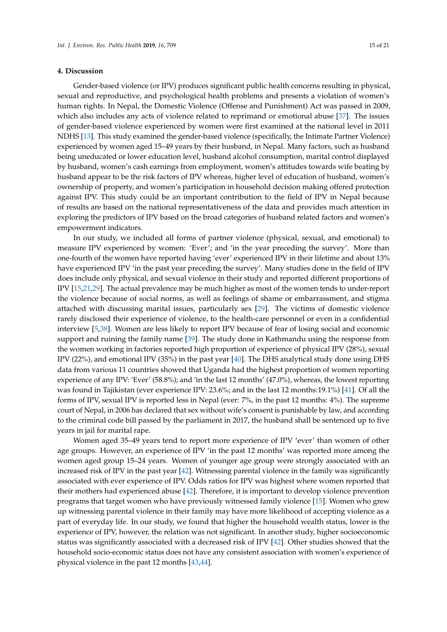### **4. Discussion**

Gender-based violence (or IPV) produces significant public health concerns resulting in physical, sexual and reproductive, and psychological health problems and presents a violation of women's human rights. In Nepal, the Domestic Violence (Offense and Punishment) Act was passed in 2009, which also includes any acts of violence related to reprimand or emotional abuse [\[37\]](#page-19-5). The issues of gender-based violence experienced by women were first examined at the national level in 2011 NDHS [\[13\]](#page-18-3). This study examined the gender-based violence (specifically, the Intimate Partner Violence) experienced by women aged 15–49 years by their husband, in Nepal. Many factors, such as husband being uneducated or lower education level, husband alcohol consumption, marital control displayed by husband, women's cash earnings from employment, women's attitudes towards wife beating by husband appear to be the risk factors of IPV whereas, higher level of education of husband, women's ownership of property, and women's participation in household decision making offered protection against IPV. This study could be an important contribution to the field of IPV in Nepal because of results are based on the national representativeness of the data and provides much attention in exploring the predictors of IPV based on the broad categories of husband related factors and women's empowerment indicators.

In our study, we included all forms of partner violence (physical, sexual, and emotional) to measure IPV experienced by women: 'Ever'; and 'in the year preceding the survey'. More than one-fourth of the women have reported having 'ever' experienced IPV in their lifetime and about 13% have experienced IPV 'in the past year preceding the survey'. Many studies done in the field of IPV does include only physical, and sexual violence in their study and reported different proportions of IPV [\[15](#page-18-16)[,21,](#page-18-8)[29\]](#page-19-6). The actual prevalence may be much higher as most of the women tends to under-report the violence because of social norms, as well as feelings of shame or embarrassment, and stigma attached with discussing marital issues, particularly sex [\[29\]](#page-19-6). The victims of domestic violence rarely disclosed their experience of violence, to the health-care personnel or even in a confidential interview [\[5](#page-17-4)[,38\]](#page-19-7). Women are less likely to report IPV because of fear of losing social and economic support and ruining the family name [\[39\]](#page-19-8). The study done in Kathmandu using the response from the women working in factories reported high proportion of experience of physical IPV (28%), sexual IPV (22%), and emotional IPV (35%) in the past year [\[40\]](#page-19-9). The DHS analytical study done using DHS data from various 11 countries showed that Uganda had the highest proportion of women reporting experience of any IPV: 'Ever' (58.8%); and 'in the last 12 months' (47.0%), whereas, the lowest reporting was found in Tajikistan (ever experience IPV: 23.6%; and in the last 12 months:19.1%) [\[41\]](#page-19-10). Of all the forms of IPV, sexual IPV is reported less in Nepal (ever: 7%, in the past 12 months: 4%). The supreme court of Nepal, in 2006 has declared that sex without wife's consent is punishable by law, and according to the criminal code bill passed by the parliament in 2017, the husband shall be sentenced up to five years in jail for marital rape.

Women aged 35–49 years tend to report more experience of IPV 'ever' than women of other age groups. However, an experience of IPV 'in the past 12 months' was reported more among the women aged group 15–24 years. Women of younger age group were strongly associated with an increased risk of IPV in the past year [\[42\]](#page-19-11). Witnessing parental violence in the family was significantly associated with ever experience of IPV. Odds ratios for IPV was highest where women reported that their mothers had experienced abuse [\[42\]](#page-19-11). Therefore, it is important to develop violence prevention programs that target women who have previously witnessed family violence [\[15\]](#page-18-16). Women who grew up witnessing parental violence in their family may have more likelihood of accepting violence as a part of everyday life. In our study, we found that higher the household wealth status, lower is the experience of IPV, however, the relation was not significant. In another study, higher socioeconomic status was significantly associated with a decreased risk of IPV [\[42\]](#page-19-11). Other studies showed that the household socio-economic status does not have any consistent association with women's experience of physical violence in the past 12 months [\[43,](#page-19-12)[44\]](#page-19-13).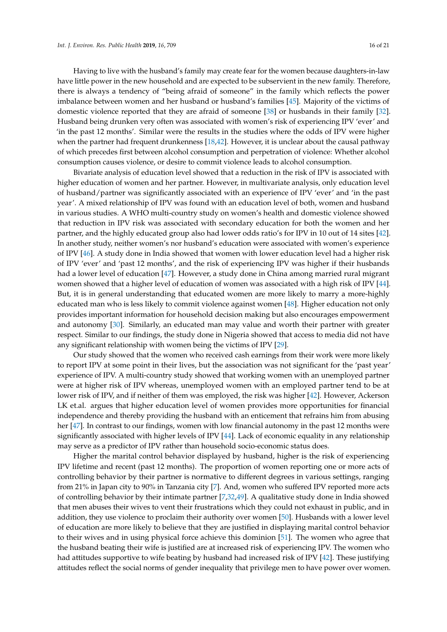Having to live with the husband's family may create fear for the women because daughters-in-law have little power in the new household and are expected to be subservient in the new family. Therefore, there is always a tendency of "being afraid of someone" in the family which reflects the power imbalance between women and her husband or husband's families [\[45\]](#page-19-14). Majority of the victims of domestic violence reported that they are afraid of someone [\[38\]](#page-19-7) or husbands in their family [\[32\]](#page-19-0). Husband being drunken very often was associated with women's risk of experiencing IPV 'ever' and 'in the past 12 months'. Similar were the results in the studies where the odds of IPV were higher when the partner had frequent drunkenness [\[18,](#page-18-5)[42\]](#page-19-11). However, it is unclear about the causal pathway of which precedes first between alcohol consumption and perpetration of violence: Whether alcohol consumption causes violence, or desire to commit violence leads to alcohol consumption.

Bivariate analysis of education level showed that a reduction in the risk of IPV is associated with higher education of women and her partner. However, in multivariate analysis, only education level of husband/partner was significantly associated with an experience of IPV 'ever' and 'in the past year'. A mixed relationship of IPV was found with an education level of both, women and husband in various studies. A WHO multi-country study on women's health and domestic violence showed that reduction in IPV risk was associated with secondary education for both the women and her partner, and the highly educated group also had lower odds ratio's for IPV in 10 out of 14 sites [\[42\]](#page-19-11). In another study, neither women's nor husband's education were associated with women's experience of IPV [\[46\]](#page-19-15). A study done in India showed that women with lower education level had a higher risk of IPV 'ever' and 'past 12 months', and the risk of experiencing IPV was higher if their husbands had a lower level of education [\[47\]](#page-19-16). However, a study done in China among married rural migrant women showed that a higher level of education of women was associated with a high risk of IPV [\[44\]](#page-19-13). But, it is in general understanding that educated women are more likely to marry a more-highly educated man who is less likely to commit violence against women [\[48\]](#page-19-17). Higher education not only provides important information for household decision making but also encourages empowerment and autonomy [\[30\]](#page-19-18). Similarly, an educated man may value and worth their partner with greater respect. Similar to our findings, the study done in Nigeria showed that access to media did not have any significant relationship with women being the victims of IPV [\[29\]](#page-19-6).

Our study showed that the women who received cash earnings from their work were more likely to report IPV at some point in their lives, but the association was not significant for the 'past year' experience of IPV. A multi-country study showed that working women with an unemployed partner were at higher risk of IPV whereas, unemployed women with an employed partner tend to be at lower risk of IPV, and if neither of them was employed, the risk was higher [\[42\]](#page-19-11). However, Ackerson LK et.al. argues that higher education level of women provides more opportunities for financial independence and thereby providing the husband with an enticement that refrains him from abusing her [\[47\]](#page-19-16). In contrast to our findings, women with low financial autonomy in the past 12 months were significantly associated with higher levels of IPV [\[44\]](#page-19-13). Lack of economic equality in any relationship may serve as a predictor of IPV rather than household socio-economic status does.

Higher the marital control behavior displayed by husband, higher is the risk of experiencing IPV lifetime and recent (past 12 months). The proportion of women reporting one or more acts of controlling behavior by their partner is normative to different degrees in various settings, ranging from 21% in Japan city to 90% in Tanzania city [\[7\]](#page-17-6). And, women who suffered IPV reported more acts of controlling behavior by their intimate partner [\[7](#page-17-6)[,32](#page-19-0)[,49\]](#page-19-19). A qualitative study done in India showed that men abuses their wives to vent their frustrations which they could not exhaust in public, and in addition, they use violence to proclaim their authority over women [\[50\]](#page-19-20). Husbands with a lower level of education are more likely to believe that they are justified in displaying marital control behavior to their wives and in using physical force achieve this dominion [\[51\]](#page-19-21). The women who agree that the husband beating their wife is justified are at increased risk of experiencing IPV. The women who had attitudes supportive to wife beating by husband had increased risk of IPV [\[42\]](#page-19-11). These justifying attitudes reflect the social norms of gender inequality that privilege men to have power over women.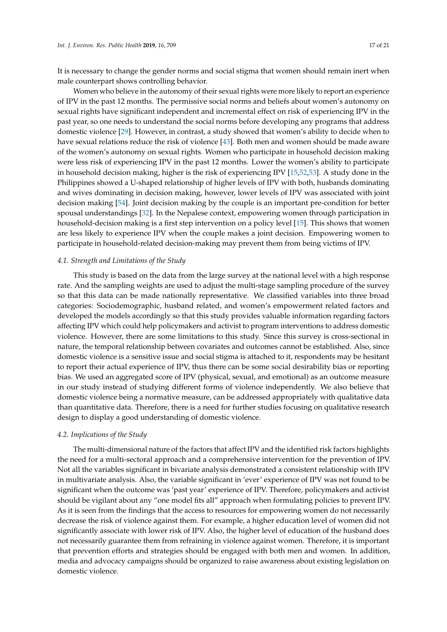It is necessary to change the gender norms and social stigma that women should remain inert when male counterpart shows controlling behavior.

Women who believe in the autonomy of their sexual rights were more likely to report an experience of IPV in the past 12 months. The permissive social norms and beliefs about women's autonomy on sexual rights have significant independent and incremental effect on risk of experiencing IPV in the past year, so one needs to understand the social norms before developing any programs that address domestic violence [\[29\]](#page-19-6). However, in contrast, a study showed that women's ability to decide when to have sexual relations reduce the risk of violence [\[43\]](#page-19-12). Both men and women should be made aware of the women's autonomy on sexual rights. Women who participate in household decision making were less risk of experiencing IPV in the past 12 months. Lower the women's ability to participate in household decision making, higher is the risk of experiencing IPV [\[15](#page-18-16)[,52](#page-20-0)[,53\]](#page-20-1). A study done in the Philippines showed a U-shaped relationship of higher levels of IPV with both, husbands dominating and wives dominating in decision making, however, lower levels of IPV was associated with joint decision making [\[54\]](#page-20-2). Joint decision making by the couple is an important pre-condition for better spousal understandings [\[32\]](#page-19-0). In the Nepalese context, empowering women through participation in household-decision making is a first step intervention on a policy level [\[15\]](#page-18-16). This shows that women are less likely to experience IPV when the couple makes a joint decision. Empowering women to participate in household-related decision-making may prevent them from being victims of IPV.

#### *4.1. Strength and Limitations of the Study*

This study is based on the data from the large survey at the national level with a high response rate. And the sampling weights are used to adjust the multi-stage sampling procedure of the survey so that this data can be made nationally representative. We classified variables into three broad categories: Sociodemographic, husband related, and women's empowerment related factors and developed the models accordingly so that this study provides valuable information regarding factors affecting IPV which could help policymakers and activist to program interventions to address domestic violence. However, there are some limitations to this study. Since this survey is cross-sectional in nature, the temporal relationship between covariates and outcomes cannot be established. Also, since domestic violence is a sensitive issue and social stigma is attached to it, respondents may be hesitant to report their actual experience of IPV, thus there can be some social desirability bias or reporting bias. We used an aggregated score of IPV (physical, sexual, and emotional) as an outcome measure in our study instead of studying different forms of violence independently. We also believe that domestic violence being a normative measure, can be addressed appropriately with qualitative data than quantitative data. Therefore, there is a need for further studies focusing on qualitative research design to display a good understanding of domestic violence.

#### *4.2. Implications of the Study*

The multi-dimensional nature of the factors that affect IPV and the identified risk factors highlights the need for a multi-sectoral approach and a comprehensive intervention for the prevention of IPV. Not all the variables significant in bivariate analysis demonstrated a consistent relationship with IPV in multivariate analysis. Also, the variable significant in 'ever' experience of IPV was not found to be significant when the outcome was 'past year' experience of IPV. Therefore, policymakers and activist should be vigilant about any "one model fits all" approach when formulating policies to prevent IPV. As it is seen from the findings that the access to resources for empowering women do not necessarily decrease the risk of violence against them. For example, a higher education level of women did not significantly associate with lower risk of IPV. Also, the higher level of education of the husband does not necessarily guarantee them from refraining in violence against women. Therefore, it is important that prevention efforts and strategies should be engaged with both men and women. In addition, media and advocacy campaigns should be organized to raise awareness about existing legislation on domestic violence.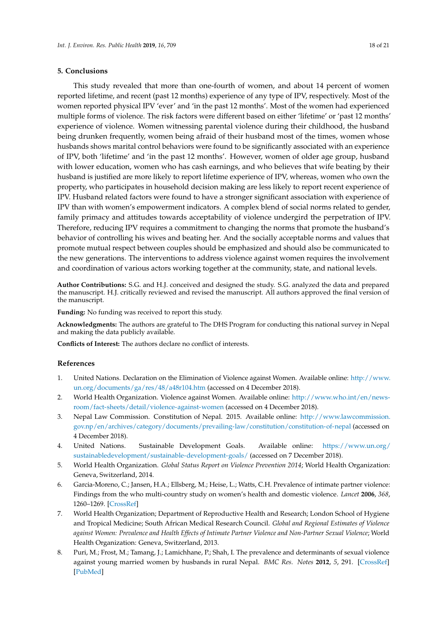#### **5. Conclusions**

This study revealed that more than one-fourth of women, and about 14 percent of women reported lifetime, and recent (past 12 months) experience of any type of IPV, respectively. Most of the women reported physical IPV 'ever' and 'in the past 12 months'. Most of the women had experienced multiple forms of violence. The risk factors were different based on either 'lifetime' or 'past 12 months' experience of violence. Women witnessing parental violence during their childhood, the husband being drunken frequently, women being afraid of their husband most of the times, women whose husbands shows marital control behaviors were found to be significantly associated with an experience of IPV, both 'lifetime' and 'in the past 12 months'. However, women of older age group, husband with lower education, women who has cash earnings, and who believes that wife beating by their husband is justified are more likely to report lifetime experience of IPV, whereas, women who own the property, who participates in household decision making are less likely to report recent experience of IPV. Husband related factors were found to have a stronger significant association with experience of IPV than with women's empowerment indicators. A complex blend of social norms related to gender, family primacy and attitudes towards acceptability of violence undergird the perpetration of IPV. Therefore, reducing IPV requires a commitment to changing the norms that promote the husband's behavior of controlling his wives and beating her. And the socially acceptable norms and values that promote mutual respect between couples should be emphasized and should also be communicated to the new generations. The interventions to address violence against women requires the involvement and coordination of various actors working together at the community, state, and national levels.

**Author Contributions:** S.G. and H.J. conceived and designed the study. S.G. analyzed the data and prepared the manuscript. H.J. critically reviewed and revised the manuscript. All authors approved the final version of the manuscript.

**Funding:** No funding was received to report this study.

**Acknowledgments:** The authors are grateful to The DHS Program for conducting this national survey in Nepal and making the data publicly available.

**Conflicts of Interest:** The authors declare no conflict of interests.

#### **References**

- <span id="page-17-0"></span>1. United Nations. Declaration on the Elimination of Violence against Women. Available online: [http://www.](http://www.un.org/documents/ga/res/48/a48r104.htm) [un.org/documents/ga/res/48/a48r104.htm](http://www.un.org/documents/ga/res/48/a48r104.htm) (accessed on 4 December 2018).
- <span id="page-17-1"></span>2. World Health Organization. Violence against Women. Available online: [http://www.who.int/en/news](http://www.who.int/en/news-room/fact-sheets/detail/violence-against-women)[room/fact-sheets/detail/violence-against-women](http://www.who.int/en/news-room/fact-sheets/detail/violence-against-women) (accessed on 4 December 2018).
- <span id="page-17-2"></span>3. Nepal Law Commission. Constitution of Nepal. 2015. Available online: [http://www.lawcommission.](http://www.lawcommission.gov.np/en/archives/category/documents/prevailing-law/constitution/constitution-of-nepal) [gov.np/en/archives/category/documents/prevailing-law/constitution/constitution-of-nepal](http://www.lawcommission.gov.np/en/archives/category/documents/prevailing-law/constitution/constitution-of-nepal) (accessed on 4 December 2018).
- <span id="page-17-3"></span>4. United Nations. Sustainable Development Goals. Available online: [https://www.un.org/](https://www.un.org/sustainabledevelopment/sustainable-development-goals/) [sustainabledevelopment/sustainable-development-goals/](https://www.un.org/sustainabledevelopment/sustainable-development-goals/) (accessed on 7 December 2018).
- <span id="page-17-4"></span>5. World Health Organization. *Global Status Report on Violence Prevention 2014*; World Health Organization: Geneva, Switzerland, 2014.
- <span id="page-17-5"></span>6. Garcia-Moreno, C.; Jansen, H.A.; Ellsberg, M.; Heise, L.; Watts, C.H. Prevalence of intimate partner violence: Findings from the who multi-country study on women's health and domestic violence. *Lancet* **2006**, *368*, 1260–1269. [\[CrossRef\]](http://dx.doi.org/10.1016/S0140-6736(06)69523-8)
- <span id="page-17-6"></span>7. World Health Organization; Department of Reproductive Health and Research; London School of Hygiene and Tropical Medicine; South African Medical Research Council. *Global and Regional Estimates of Violence against Women: Prevalence and Health Effects of Intimate Partner Violence and Non-Partner Sexual Violence*; World Health Organization: Geneva, Switzerland, 2013.
- <span id="page-17-7"></span>8. Puri, M.; Frost, M.; Tamang, J.; Lamichhane, P.; Shah, I. The prevalence and determinants of sexual violence against young married women by husbands in rural Nepal. *BMC Res. Notes* **2012**, *5*, 291. [\[CrossRef\]](http://dx.doi.org/10.1186/1756-0500-5-291) [\[PubMed\]](http://www.ncbi.nlm.nih.gov/pubmed/22695085)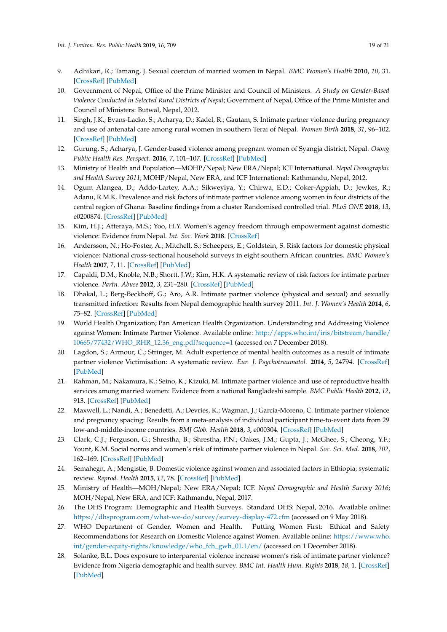- 9. Adhikari, R.; Tamang, J. Sexual coercion of married women in Nepal. *BMC Women's Health* **2010**, *10*, 31. [\[CrossRef\]](http://dx.doi.org/10.1186/1472-6874-10-31) [\[PubMed\]](http://www.ncbi.nlm.nih.gov/pubmed/21029449)
- <span id="page-18-0"></span>10. Government of Nepal, Office of the Prime Minister and Council of Ministers. *A Study on Gender-Based Violence Conducted in Selected Rural Districts of Nepal*; Government of Nepal, Office of the Prime Minister and Council of Ministers: Butwal, Nepal, 2012.
- <span id="page-18-1"></span>11. Singh, J.K.; Evans-Lacko, S.; Acharya, D.; Kadel, R.; Gautam, S. Intimate partner violence during pregnancy and use of antenatal care among rural women in southern Terai of Nepal. *Women Birth* **2018**, *31*, 96–102. [\[CrossRef\]](http://dx.doi.org/10.1016/j.wombi.2017.07.009) [\[PubMed\]](http://www.ncbi.nlm.nih.gov/pubmed/28844866)
- <span id="page-18-2"></span>12. Gurung, S.; Acharya, J. Gender-based violence among pregnant women of Syangja district, Nepal. *Osong Public Health Res. Perspect.* **2016**, *7*, 101–107. [\[CrossRef\]](http://dx.doi.org/10.1016/j.phrp.2015.11.010) [\[PubMed\]](http://www.ncbi.nlm.nih.gov/pubmed/27169008)
- <span id="page-18-3"></span>13. Ministry of Health and Population—MOHP/Nepal; New ERA/Nepal; ICF International. *Nepal Demographic and Health Survey 2011*; MOHP/Nepal, New ERA, and ICF International: Kathmandu, Nepal, 2012.
- <span id="page-18-4"></span>14. Ogum Alangea, D.; Addo-Lartey, A.A.; Sikweyiya, Y.; Chirwa, E.D.; Coker-Appiah, D.; Jewkes, R.; Adanu, R.M.K. Prevalence and risk factors of intimate partner violence among women in four districts of the central region of Ghana: Baseline findings from a cluster Randomised controlled trial. *PLoS ONE* **2018**, *13*, e0200874. [\[CrossRef\]](http://dx.doi.org/10.1371/journal.pone.0200874) [\[PubMed\]](http://www.ncbi.nlm.nih.gov/pubmed/30024948)
- <span id="page-18-16"></span>15. Kim, H.J.; Atteraya, M.S.; Yoo, H.Y. Women's agency freedom through empowerment against domestic violence: Evidence from Nepal. *Int. Soc. Work* **2018**. [\[CrossRef\]](http://dx.doi.org/10.1177/0020872818767255)
- 16. Andersson, N.; Ho-Foster, A.; Mitchell, S.; Scheepers, E.; Goldstein, S. Risk factors for domestic physical violence: National cross-sectional household surveys in eight southern African countries. *BMC Women's Health* **2007**, *7*, 11. [\[CrossRef\]](http://dx.doi.org/10.1186/1472-6874-7-11) [\[PubMed\]](http://www.ncbi.nlm.nih.gov/pubmed/17631689)
- 17. Capaldi, D.M.; Knoble, N.B.; Shortt, J.W.; Kim, H.K. A systematic review of risk factors for intimate partner violence. *Partn. Abuse* **2012**, *3*, 231–280. [\[CrossRef\]](http://dx.doi.org/10.1891/1946-6560.3.2.231) [\[PubMed\]](http://www.ncbi.nlm.nih.gov/pubmed/22754606)
- <span id="page-18-5"></span>18. Dhakal, L.; Berg-Beckhoff, G.; Aro, A.R. Intimate partner violence (physical and sexual) and sexually transmitted infection: Results from Nepal demographic health survey 2011. *Int. J. Women's Health* **2014**, *6*, 75–82. [\[CrossRef\]](http://dx.doi.org/10.2147/IJWH.S54609) [\[PubMed\]](http://www.ncbi.nlm.nih.gov/pubmed/24470776)
- <span id="page-18-6"></span>19. World Health Organization; Pan American Health Organization. Understanding and Addressing Violence against Women: Intimate Partner Violence. Available online: [http://apps.who.int/iris/bitstream/handle/](http://apps.who.int/iris/bitstream/handle/10665/77432/WHO_RHR_12.36_eng.pdf?sequence=1) [10665/77432/WHO\\_RHR\\_12.36\\_eng.pdf?sequence=1](http://apps.who.int/iris/bitstream/handle/10665/77432/WHO_RHR_12.36_eng.pdf?sequence=1) (accessed on 7 December 2018).
- <span id="page-18-7"></span>20. Lagdon, S.; Armour, C.; Stringer, M. Adult experience of mental health outcomes as a result of intimate partner violence Victimisation: A systematic review. *Eur. J. Psychotraumatol.* **2014**, *5*, 24794. [\[CrossRef\]](http://dx.doi.org/10.3402/ejpt.v5.24794) [\[PubMed\]](http://www.ncbi.nlm.nih.gov/pubmed/25279103)
- <span id="page-18-8"></span>21. Rahman, M.; Nakamura, K.; Seino, K.; Kizuki, M. Intimate partner violence and use of reproductive health services among married women: Evidence from a national Bangladeshi sample. *BMC Public Health* **2012**, *12*, 913. [\[CrossRef\]](http://dx.doi.org/10.1186/1471-2458-12-913) [\[PubMed\]](http://www.ncbi.nlm.nih.gov/pubmed/23102051)
- <span id="page-18-9"></span>22. Maxwell, L.; Nandi, A.; Benedetti, A.; Devries, K.; Wagman, J.; García-Moreno, C. Intimate partner violence and pregnancy spacing: Results from a meta-analysis of individual participant time-to-event data from 29 low-and-middle-income countries. *BMJ Glob. Health* **2018**, *3*, e000304. [\[CrossRef\]](http://dx.doi.org/10.1136/bmjgh-2017-000304) [\[PubMed\]](http://www.ncbi.nlm.nih.gov/pubmed/29564152)
- <span id="page-18-10"></span>23. Clark, C.J.; Ferguson, G.; Shrestha, B.; Shrestha, P.N.; Oakes, J.M.; Gupta, J.; McGhee, S.; Cheong, Y.F.; Yount, K.M. Social norms and women's risk of intimate partner violence in Nepal. *Soc. Sci. Med.* **2018**, *202*, 162–169. [\[CrossRef\]](http://dx.doi.org/10.1016/j.socscimed.2018.02.017) [\[PubMed\]](http://www.ncbi.nlm.nih.gov/pubmed/29549822)
- <span id="page-18-11"></span>24. Semahegn, A.; Mengistie, B. Domestic violence against women and associated factors in Ethiopia; systematic review. *Reprod. Health* **2015**, *12*, 78. [\[CrossRef\]](http://dx.doi.org/10.1186/s12978-015-0072-1) [\[PubMed\]](http://www.ncbi.nlm.nih.gov/pubmed/26319026)
- <span id="page-18-12"></span>25. Ministry of Health—MOH/Nepal; New ERA/Nepal; ICF. *Nepal Demographic and Health Survey 2016*; MOH/Nepal, New ERA, and ICF: Kathmandu, Nepal, 2017.
- <span id="page-18-13"></span>26. The DHS Program: Demographic and Health Surveys. Standard DHS: Nepal, 2016. Available online: <https://dhsprogram.com/what-we-do/survey/survey-display-472.cfm> (accessed on 9 May 2018).
- <span id="page-18-14"></span>27. WHO Department of Gender, Women and Health. Putting Women First: Ethical and Safety Recommendations for Research on Domestic Violence against Women. Available online: [https://www.who.](https://www.who.int/gender-equity-rights/knowledge/who_fch_gwh_01.1/en/) [int/gender-equity-rights/knowledge/who\\_fch\\_gwh\\_01.1/en/](https://www.who.int/gender-equity-rights/knowledge/who_fch_gwh_01.1/en/) (accessed on 1 December 2018).
- <span id="page-18-15"></span>28. Solanke, B.L. Does exposure to interparental violence increase women's risk of intimate partner violence? Evidence from Nigeria demographic and health survey. *BMC Int. Health Hum. Rights* **2018**, *18*, 1. [\[CrossRef\]](http://dx.doi.org/10.1186/s12914-018-0143-9) [\[PubMed\]](http://www.ncbi.nlm.nih.gov/pubmed/29325549)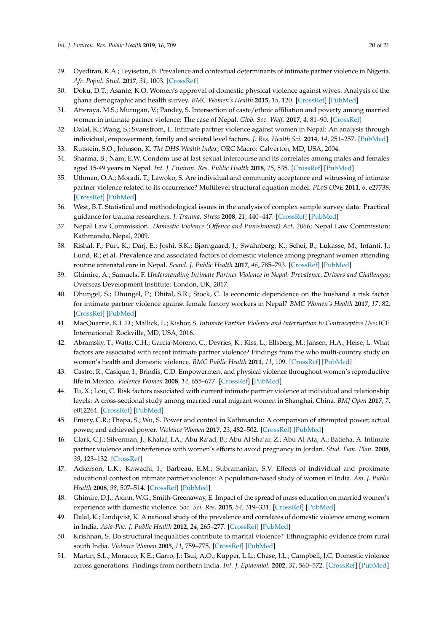- <span id="page-19-6"></span>29. Oyediran, K.A.; Feyisetan, B. Prevalence and contextual determinants of intimate partner violence in Nigeria. *Afr. Popul. Stud.* **2017**, *31*, 1003. [\[CrossRef\]](http://dx.doi.org/10.11564/31-1-1003)
- <span id="page-19-18"></span>30. Doku, D.T.; Asante, K.O. Women's approval of domestic physical violence against wives: Analysis of the ghana demographic and health survey. *BMC Women's Health* **2015**, *15*, 120. [\[CrossRef\]](http://dx.doi.org/10.1186/s12905-015-0276-0) [\[PubMed\]](http://www.ncbi.nlm.nih.gov/pubmed/26691763)
- 31. Atteraya, M.S.; Murugan, V.; Pandey, S. Intersection of caste/ethnic affiliation and poverty among married women in intimate partner violence: The case of Nepal. *Glob. Soc. Welf.* **2017**, *4*, 81–90. [\[CrossRef\]](http://dx.doi.org/10.1007/s40609-016-0056-2)
- <span id="page-19-0"></span>32. Dalal, K.; Wang, S.; Svanstrom, L. Intimate partner violence against women in Nepal: An analysis through individual, empowerment, family and societal level factors. *J. Res. Health Sci.* **2014**, *14*, 251–257. [\[PubMed\]](http://www.ncbi.nlm.nih.gov/pubmed/25503278)
- <span id="page-19-1"></span>33. Rutstein, S.O.; Johnson, K. *The DHS Wealth Index*; ORC Macro: Calverton, MD, USA, 2004.
- <span id="page-19-2"></span>34. Sharma, B.; Nam, E.W. Condom use at last sexual intercourse and its correlates among males and females aged 15-49 years in Nepal. *Int. J. Environ. Res. Public Health* **2018**, *15*, 535. [\[CrossRef\]](http://dx.doi.org/10.3390/ijerph15030535) [\[PubMed\]](http://www.ncbi.nlm.nih.gov/pubmed/29547564)
- <span id="page-19-3"></span>35. Uthman, O.A.; Moradi, T.; Lawoko, S. Are individual and community acceptance and witnessing of intimate partner violence related to its occurrence? Multilevel structural equation model. *PLoS ONE* **2011**, *6*, e27738. [\[CrossRef\]](http://dx.doi.org/10.1371/journal.pone.0027738) [\[PubMed\]](http://www.ncbi.nlm.nih.gov/pubmed/22194791)
- <span id="page-19-4"></span>36. West, B.T. Statistical and methodological issues in the analysis of complex sample survey data: Practical guidance for trauma researchers. *J. Trauma. Stress* **2008**, *21*, 440–447. [\[CrossRef\]](http://dx.doi.org/10.1002/jts.20356) [\[PubMed\]](http://www.ncbi.nlm.nih.gov/pubmed/18956450)
- <span id="page-19-5"></span>37. Nepal Law Commission. *Domestic Violence (Offence and Punishment) Act, 2066*; Nepal Law Commission: Kathmandu, Nepal, 2009.
- <span id="page-19-7"></span>38. Rishal, P.; Pun, K.; Darj, E.; Joshi, S.K.; Bjørngaard, J.; Swahnberg, K.; Schei, B.; Lukasse, M.; Infanti, J.; Lund, R.; et al. Prevalence and associated factors of domestic violence among pregnant women attending routine antenatal care in Nepal. *Scand. J. Public Health* **2017**, *46*, 785–793. [\[CrossRef\]](http://dx.doi.org/10.1177/1403494817723195) [\[PubMed\]](http://www.ncbi.nlm.nih.gov/pubmed/29578383)
- <span id="page-19-8"></span>39. Ghimire, A.; Samuels, F. *Understanding Intimate Partner Violence in Nepal: Prevalence, Drivers and Challenges*; Overseas Development Institute: London, UK, 2017.
- <span id="page-19-9"></span>40. Dhungel, S.; Dhungel, P.; Dhital, S.R.; Stock, C. Is economic dependence on the husband a risk factor for intimate partner violence against female factory workers in Nepal? *BMC Women's Health* **2017**, *17*, 82. [\[CrossRef\]](http://dx.doi.org/10.1186/s12905-017-0441-8) [\[PubMed\]](http://www.ncbi.nlm.nih.gov/pubmed/28903741)
- <span id="page-19-10"></span>41. MacQuarrie, K.L.D.; Mallick, L.; Kishor, S. *Intimate Partner Violence and Interruption to Contraceptive Use*; ICF International: Rockville, MD, USA, 2016.
- <span id="page-19-11"></span>42. Abramsky, T.; Watts, C.H.; Garcia-Moreno, C.; Devries, K.; Kiss, L.; Ellsberg, M.; Jansen, H.A.; Heise, L. What factors are associated with recent intimate partner violence? Findings from the who multi-country study on women's health and domestic violence. *BMC Public Health* **2011**, *11*, 109. [\[CrossRef\]](http://dx.doi.org/10.1186/1471-2458-11-109) [\[PubMed\]](http://www.ncbi.nlm.nih.gov/pubmed/21324186)
- <span id="page-19-12"></span>43. Castro, R.; Casique, I.; Brindis, C.D. Empowerment and physical violence throughout women's reproductive life in Mexico. *Violence Women* **2008**, *14*, 655–677. [\[CrossRef\]](http://dx.doi.org/10.1177/1077801208319102) [\[PubMed\]](http://www.ncbi.nlm.nih.gov/pubmed/18535307)
- <span id="page-19-13"></span>44. Tu, X.; Lou, C. Risk factors associated with current intimate partner violence at individual and relationship levels: A cross-sectional study among married rural migrant women in Shanghai, China. *BMJ Open* **2017**, *7*, e012264. [\[CrossRef\]](http://dx.doi.org/10.1136/bmjopen-2016-012264) [\[PubMed\]](http://www.ncbi.nlm.nih.gov/pubmed/28385911)
- <span id="page-19-14"></span>45. Emery, C.R.; Thapa, S.; Wu, S. Power and control in Kathmandu: A comparison of attempted power, actual power, and achieved power. *Violence Women* **2017**, *23*, 482–502. [\[CrossRef\]](http://dx.doi.org/10.1177/1077801216644993) [\[PubMed\]](http://www.ncbi.nlm.nih.gov/pubmed/27153860)
- <span id="page-19-15"></span>46. Clark, C.J.; Silverman, J.; Khalaf, I.A.; Abu Ra'ad, B.; Abu Al Sha'ar, Z.; Abu Al Ata, A.; Batieha, A. Intimate partner violence and interference with women's efforts to avoid pregnancy in Jordan. *Stud. Fam. Plan.* **2008**, *39*, 123–132. [\[CrossRef\]](http://dx.doi.org/10.1111/j.1728-4465.2008.00159.x)
- <span id="page-19-16"></span>47. Ackerson, L.K.; Kawachi, I.; Barbeau, E.M.; Subramanian, S.V. Effects of individual and proximate educational context on intimate partner violence: A population-based study of women in India. *Am. J. Public Health* **2008**, *98*, 507–514. [\[CrossRef\]](http://dx.doi.org/10.2105/AJPH.2007.113738) [\[PubMed\]](http://www.ncbi.nlm.nih.gov/pubmed/18235066)
- <span id="page-19-17"></span>48. Ghimire, D.J.; Axinn, W.G.; Smith-Greenaway, E. Impact of the spread of mass education on married women's experience with domestic violence. *Soc. Sci. Res.* **2015**, *54*, 319–331. [\[CrossRef\]](http://dx.doi.org/10.1016/j.ssresearch.2015.08.004) [\[PubMed\]](http://www.ncbi.nlm.nih.gov/pubmed/26463551)
- <span id="page-19-19"></span>49. Dalal, K.; Lindqvist, K. A national study of the prevalence and correlates of domestic violence among women in India. *Asia-Pac. J. Public Health* **2012**, *24*, 265–277. [\[CrossRef\]](http://dx.doi.org/10.1177/1010539510384499) [\[PubMed\]](http://www.ncbi.nlm.nih.gov/pubmed/21118856)
- <span id="page-19-20"></span>50. Krishnan, S. Do structural inequalities contribute to marital violence? Ethnographic evidence from rural south India. *Violence Women* **2005**, *11*, 759–775. [\[CrossRef\]](http://dx.doi.org/10.1177/1077801205276078) [\[PubMed\]](http://www.ncbi.nlm.nih.gov/pubmed/16043570)
- <span id="page-19-21"></span>51. Martin, S.L.; Moracco, K.E.; Garro, J.; Tsui, A.O.; Kupper, L.L.; Chase, J.L.; Campbell, J.C. Domestic violence across generations: Findings from northern India. *Int. J. Epidemiol.* **2002**, *31*, 560–572. [\[CrossRef\]](http://dx.doi.org/10.1093/ije/31.3.560) [\[PubMed\]](http://www.ncbi.nlm.nih.gov/pubmed/12055156)